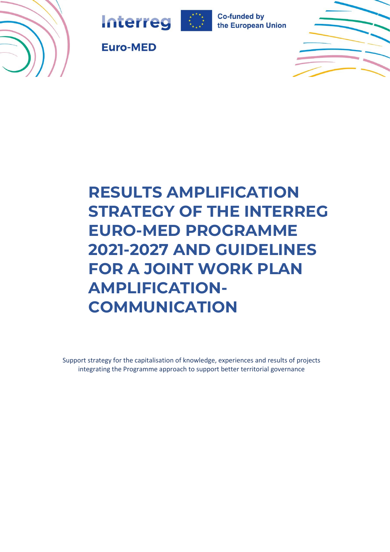







**Euro-MED** 

# **RESULTS AMPLIFICATION STRATEGY OF THE INTERREG EURO-MED PROGRAMME 2021-2027 AND GUIDELINES FOR A JOINT WORK PLAN AMPLIFICATION-COMMUNICATION**

Support strategy for the capitalisation of knowledge, experiences and results of projects integrating the Programme approach to support better territorial governance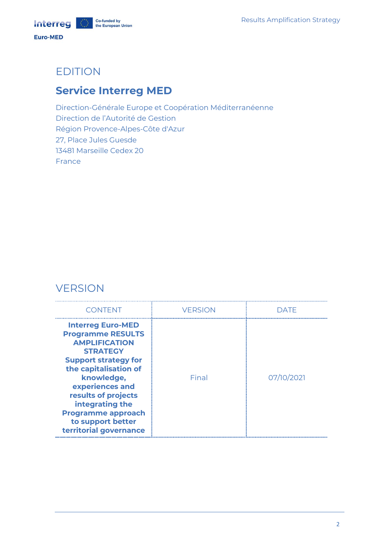## EDITION

## **Service Interreg MED**

Direction-Générale Europe et Coopération Méditerranéenne Direction de l'Autorité de Gestion Région Provence-Alpes-Côte d'Azur 27, Place Jules Guesde 13481 Marseille Cedex 20 France

## **VERSION**

| <b>CONTENT</b>                                                                                                                                                                                                                                                                                                 | <b>VERSION</b> | DATF       |
|----------------------------------------------------------------------------------------------------------------------------------------------------------------------------------------------------------------------------------------------------------------------------------------------------------------|----------------|------------|
| <b>Interreg Euro-MED</b><br><b>Programme RESULTS</b><br><b>AMPLIFICATION</b><br><b>STRATEGY</b><br><b>Support strategy for</b><br>the capitalisation of<br>knowledge,<br>experiences and<br>results of projects<br>integrating the<br><b>Programme approach</b><br>to support better<br>territorial governance | Final          | 07/10/2021 |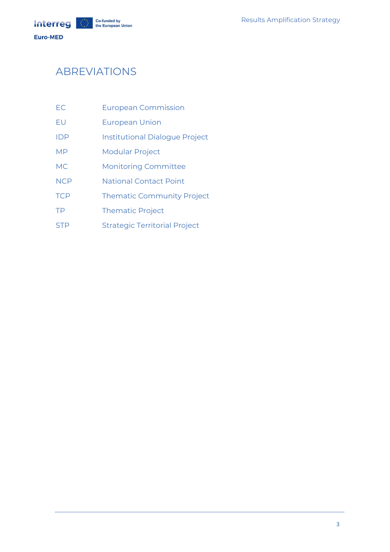**Co-funded by<br>the European Union Interreg** 

Euro-MED

## ABREVIATIONS

| EC | <b>European Commission</b> |  |
|----|----------------------------|--|
|    |                            |  |

- EU European Union
- IDP Institutional Dialogue Project
- MP Modular Project
- MC Monitoring Committee
- NCP National Contact Point
- TCP Thematic Community Project
- TP Thematic Project
- STP Strategic Territorial Project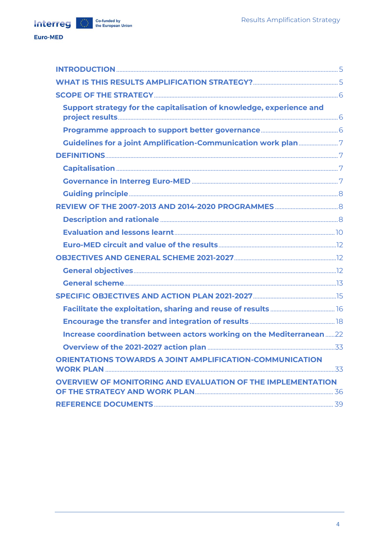Euro-MED

| Support strategy for the capitalisation of knowledge, experience and |  |
|----------------------------------------------------------------------|--|
|                                                                      |  |
|                                                                      |  |
|                                                                      |  |
|                                                                      |  |
|                                                                      |  |
|                                                                      |  |
|                                                                      |  |
|                                                                      |  |
|                                                                      |  |
|                                                                      |  |
|                                                                      |  |
|                                                                      |  |
|                                                                      |  |
|                                                                      |  |
|                                                                      |  |
|                                                                      |  |
| Increase coordination between actors working on the Mediterranean22  |  |
|                                                                      |  |
| ORIENTATIONS TOWARDS A JOINT AMPLIFICATION-COMMUNICATION             |  |
| <b>OVERVIEW OF MONITORING AND EVALUATION OF THE IMPLEMENTATION</b>   |  |
|                                                                      |  |
|                                                                      |  |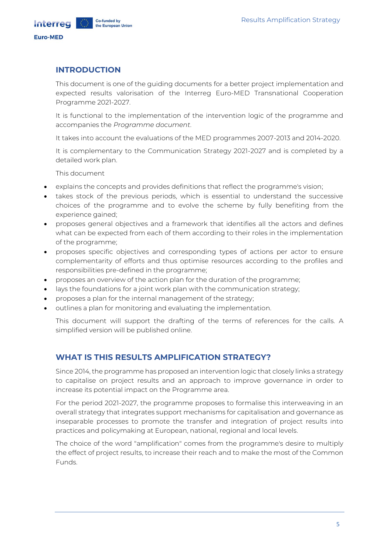## <span id="page-4-0"></span>**INTRODUCTION**

This document is one of the guiding documents for a better project implementation and expected results valorisation of the Interreg Euro-MED Transnational Cooperation Programme 2021-2027.

It is functional to the implementation of the intervention logic of the programme and accompanies the *Programme document*.

It takes into account the evaluations of the MED programmes 2007-2013 and 2014-2020.

It is complementary to the Communication Strategy 2021-2027 and is completed by a detailed work plan.

This document

- explains the concepts and provides definitions that reflect the programme's vision;
- takes stock of the previous periods, which is essential to understand the successive choices of the programme and to evolve the scheme by fully benefiting from the experience gained;
- proposes general objectives and a framework that identifies all the actors and defines what can be expected from each of them according to their roles in the implementation of the programme;
- proposes specific objectives and corresponding types of actions per actor to ensure complementarity of efforts and thus optimise resources according to the profiles and responsibilities pre-defined in the programme;
- proposes an overview of the action plan for the duration of the programme;
- lays the foundations for a joint work plan with the communication strategy;
- proposes a plan for the internal management of the strategy;
- outlines a plan for monitoring and evaluating the implementation.

This document will support the drafting of the terms of references for the calls. A simplified version will be published online.

## <span id="page-4-1"></span>**WHAT IS THIS RESULTS AMPLIFICATION STRATEGY?**

Since 2014, the programme has proposed an intervention logic that closely links a strategy to capitalise on project results and an approach to improve governance in order to increase its potential impact on the Programme area.

For the period 2021-2027, the programme proposes to formalise this interweaving in an overall strategy that integrates support mechanisms for capitalisation and governance as inseparable processes to promote the transfer and integration of project results into practices and policymaking at European, national, regional and local levels.

The choice of the word "amplification" comes from the programme's desire to multiply the effect of project results, to increase their reach and to make the most of the Common Funds.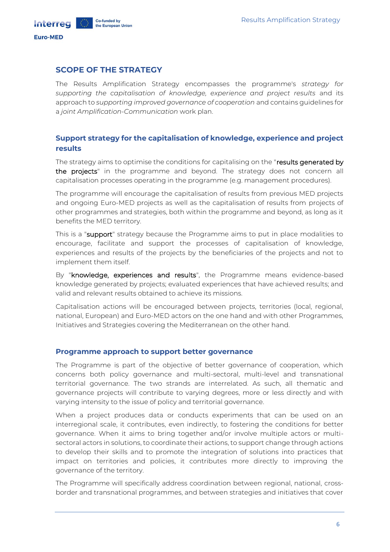## <span id="page-5-0"></span>**SCOPE OF THE STRATEGY**

Co-funded by

the European Union

The Results Amplification Strategy encompasses the programme's *strategy for supporting the capitalisation of knowledge, experience and project results* and its approach to *supporting improved governance of cooperation* and contains guidelines for a *joint Amplification-Communication* work plan.

## <span id="page-5-1"></span>**Support strategy for the capitalisation of knowledge, experience and project results**

The strategy aims to optimise the conditions for capitalising on the "results generated by the projects" in the programme and beyond. The strategy does not concern all capitalisation processes operating in the programme (e.g. management procedures).

The programme will encourage the capitalisation of results from previous MED projects and ongoing Euro-MED projects as well as the capitalisation of results from projects of other programmes and strategies, both within the programme and beyond, as long as it benefits the MED territory.

This is a "support" strategy because the Programme aims to put in place modalities to encourage, facilitate and support the processes of capitalisation of knowledge, experiences and results of the projects by the beneficiaries of the projects and not to implement them itself.

By "knowledge, experiences and results", the Programme means evidence-based knowledge generated by projects; evaluated experiences that have achieved results; and valid and relevant results obtained to achieve its missions.

Capitalisation actions will be encouraged between projects, territories (local, regional, national, European) and Euro-MED actors on the one hand and with other Programmes, Initiatives and Strategies covering the Mediterranean on the other hand.

#### <span id="page-5-2"></span>**Programme approach to support better governance**

The Programme is part of the objective of better governance of cooperation, which concerns both policy governance and multi-sectoral, multi-level and transnational territorial governance. The two strands are interrelated. As such, all thematic and governance projects will contribute to varying degrees, more or less directly and with varying intensity to the issue of policy and territorial governance.

When a project produces data or conducts experiments that can be used on an interregional scale, it contributes, even indirectly, to fostering the conditions for better governance. When it aims to bring together and/or involve multiple actors or multisectoral actors in solutions, to coordinate their actions, to support change through actions to develop their skills and to promote the integration of solutions into practices that impact on territories and policies, it contributes more directly to improving the governance of the territory.

The Programme will specifically address coordination between regional, national, crossborder and transnational programmes, and between strategies and initiatives that cover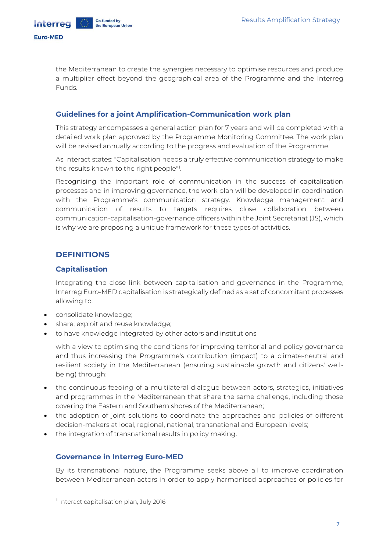Co-funded by

the European Union

the Mediterranean to create the synergies necessary to optimise resources and produce a multiplier effect beyond the geographical area of the Programme and the Interreg Funds.

### <span id="page-6-0"></span>**Guidelines for a joint Amplification-Communication work plan**

This strategy encompasses a general action plan for 7 years and will be completed with a detailed work plan approved by the Programme Monitoring Committee. The work plan will be revised annually according to the progress and evaluation of the Programme.

As Interact states: "Capitalisation needs a truly effective communication strategy to make the results known to the right people"<sup>1</sup> .

Recognising the important role of communication in the success of capitalisation processes and in improving governance, the work plan will be developed in coordination with the Programme's communication strategy. Knowledge management and communication of results to targets requires close collaboration between communication-capitalisation-governance officers within the Joint Secretariat (JS), which is why we are proposing a unique framework for these types of activities.

## <span id="page-6-1"></span>**DEFINITIONS**

### <span id="page-6-2"></span>**Capitalisation**

Integrating the close link between capitalisation and governance in the Programme, Interreg Euro-MED capitalisation is strategically defined as a set of concomitant processes allowing to:

- consolidate knowledge;
- share, exploit and reuse knowledge;
- to have knowledge integrated by other actors and institutions

with a view to optimising the conditions for improving territorial and policy governance and thus increasing the Programme's contribution (impact) to a climate-neutral and resilient society in the Mediterranean (ensuring sustainable growth and citizens' wellbeing) through:

- the continuous feeding of a multilateral dialogue between actors, strategies, initiatives and programmes in the Mediterranean that share the same challenge, including those covering the Eastern and Southern shores of the Mediterranean;
- the adoption of joint solutions to coordinate the approaches and policies of different decision-makers at local, regional, national, transnational and European levels;
- the integration of transnational results in policy making.

## <span id="page-6-3"></span>**Governance in Interreg Euro-MED**

By its transnational nature, the Programme seeks above all to improve coordination between Mediterranean actors in order to apply harmonised approaches or policies for

<sup>1</sup> Interact capitalisation plan, July 2016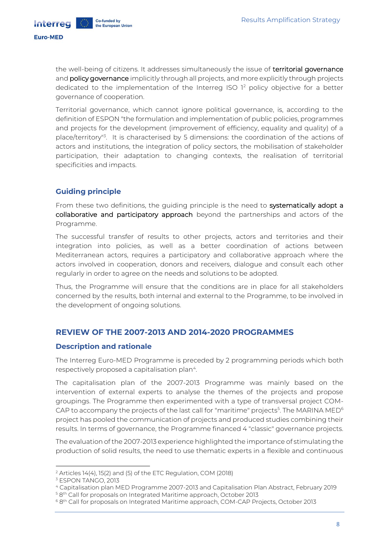Interreg

the well-being of citizens. It addresses simultaneously the issue of territorial governance and **policy governance** implicitly through all projects, and more explicitly through projects dedicated to the implementation of the Interreg ISO  $1<sup>2</sup>$  policy objective for a better governance of cooperation.

Territorial governance, which cannot ignore political governance, is, according to the definition of ESPON "the formulation and implementation of public policies, programmes and projects for the development (improvement of efficiency, equality and quality) of a place/territory<sup>"3</sup>. It is characterised by 5 dimensions: the coordination of the actions of actors and institutions, the integration of policy sectors, the mobilisation of stakeholder participation, their adaptation to changing contexts, the realisation of territorial specificities and impacts.

## <span id="page-7-0"></span>**Guiding principle**

From these two definitions, the quiding principle is the need to systematically adopt a collaborative and participatory approach beyond the partnerships and actors of the Programme.

The successful transfer of results to other projects, actors and territories and their integration into policies, as well as a better coordination of actions between Mediterranean actors, requires a participatory and collaborative approach where the actors involved in cooperation, donors and receivers, dialogue and consult each other regularly in order to agree on the needs and solutions to be adopted.

Thus, the Programme will ensure that the conditions are in place for all stakeholders concerned by the results, both internal and external to the Programme, to be involved in the development of ongoing solutions.

## <span id="page-7-1"></span>**REVIEW OF THE 2007-2013 AND 2014-2020 PROGRAMMES**

## <span id="page-7-2"></span>**Description and rationale**

The Interreg Euro-MED Programme is preceded by 2 programming periods which both respectively proposed a capitalisation plan<sup>4</sup>.

The capitalisation plan of the 2007-2013 Programme was mainly based on the intervention of external experts to analyse the themes of the projects and propose groupings. The Programme then experimented with a type of transversal project COM-CAP to accompany the projects of the last call for "maritime" projects $^5$ . The MARINA MED $^6$ project has pooled the communication of projects and produced studies combining their results. In terms of governance, the Programme financed 4 "classic" governance projects.

The evaluation of the 2007-2013 experience highlighted the importance of stimulating the production of solid results, the need to use thematic experts in a flexible and continuous

<sup>2</sup> Articles 14(4), 15(2) and (5) of the ETC Regulation, COM (2018)

<sup>&</sup>lt;sup>3</sup> ESPON TANGO, 2013

<sup>4</sup> Capitalisation plan MED Programme 2007-2013 and Capitalisation Plan Abstract, February 2019

<sup>&</sup>lt;sup>5</sup> 8<sup>th</sup> Call for proposals on Integrated Maritime approach, October 2013

 $^6$  8th Call for proposals on Integrated Maritime approach, COM-CAP Projects, October 2013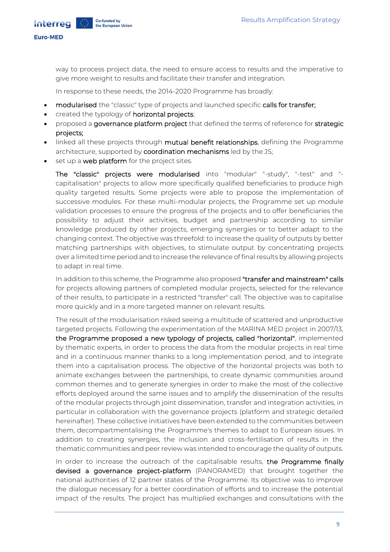**Euro-MED** 

Interrea

way to process project data, the need to ensure access to results and the imperative to give more weight to results and facilitate their transfer and integration.

In response to these needs, the 2014-2020 Programme has broadly:

- modularised the "classic" type of projects and launched specific calls for transfer;
- created the typology of horizontal projects;
- proposed a governance platform project that defined the terms of reference for strategic projects;
- linked all these projects through mutual benefit relationships, defining the Programme architecture, supported by coordination mechanisms led by the JS;
- set up a web platform for the project sites.

The "classic" projects were modularised into "modular" "-study", "-test" and " capitalisation" projects to allow more specifically qualified beneficiaries to produce high quality targeted results. Some projects were able to propose the implementation of successive modules. For these multi-modular projects, the Programme set up module validation processes to ensure the progress of the projects and to offer beneficiaries the possibility to adjust their activities, budget and partnership according to similar knowledge produced by other projects, emerging synergies or to better adapt to the changing context. The objective was threefold: to increase the quality of outputs by better matching partnerships with objectives, to stimulate output by concentrating projects over a limited time period and to increase the relevance of final results by allowing projects to adapt in real time.

In addition to this scheme, the Programme also proposed "transfer and mainstream" calls for projects allowing partners of completed modular projects, selected for the relevance of their results, to participate in a restricted "transfer" call. The objective was to capitalise more quickly and in a more targeted manner on relevant results.

The result of the modularisation risked seeing a multitude of scattered and unproductive targeted projects. Following the experimentation of the MARINA MED project in 2007/13, the Programme proposed a new typology of projects, called "horizontal", implemented by thematic experts, in order to process the data from the modular projects in real time and in a continuous manner thanks to a long implementation period, and to integrate them into a capitalisation process. The objective of the horizontal projects was both to animate exchanges between the partnerships, to create dynamic communities around common themes and to generate synergies in order to make the most of the collective efforts deployed around the same issues and to amplify the dissemination of the results of the modular projects through joint dissemination, transfer and integration activities, in particular in collaboration with the governance projects (platform and strategic detailed hereinafter). These collective initiatives have been extended to the communities between them, decompartmentalising the Programme's themes to adapt to European issues. In addition to creating synergies, the inclusion and cross-fertilisation of results in the thematic communities and peer review was intended to encourage the quality of outputs.

In order to increase the outreach of the capitalisable results, the Programme finally devised a governance project-platform (PANORAMED) that brought together the national authorities of 12 partner states of the Programme. Its objective was to improve the dialogue necessary for a better coordination of efforts and to increase the potential impact of the results. The project has multiplied exchanges and consultations with the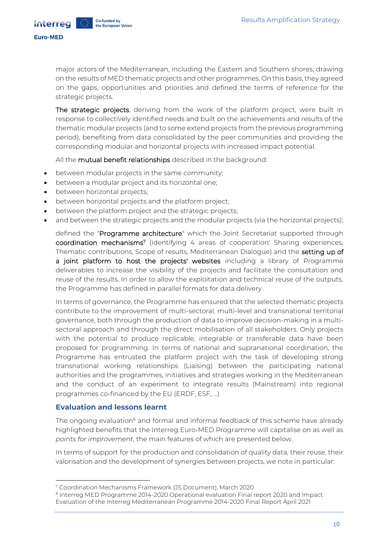**Euro-MED** 

Interrea

major actors of the Mediterranean, including the Eastern and Southern shores, drawing on the results of MED thematic projects and other programmes. On this basis, they agreed on the gaps, opportunities and priorities and defined the terms of reference for the strategic projects.

The strategic projects, deriving from the work of the platform project, were built in response to collectively identified needs and built on the achievements and results of the thematic modular projects (and to some extend projects from the previous programming period), benefiting from data consolidated by the peer communities and providing the corresponding modular and horizontal projects with increased impact potential.

All the mutual benefit relationships described in the background:

- between modular projects in the same community;
- between a modular project and its horizontal one;
- between horizontal projects;
- between horizontal projects and the platform project;
- between the platform project and the strategic projects;
- and between the strategic projects and the modular projects (via the horizontal projects);

defined the "Programme architecture" which the Joint Secretariat supported through coordination mechanisms<sup>7</sup> (identifying 4 areas of cooperation: Sharing experiences, Thematic contributions, Scope of results, Mediterranean Dialogue) and the setting up of a joint platform to host the projects' websites including a library of Programme deliverables to increase the visibility of the projects and facilitate the consultation and reuse of the results. In order to allow the exploitation and technical reuse of the outputs, the Programme has defined in parallel formats for data delivery.

In terms of governance, the Programme has ensured that the selected thematic projects contribute to the improvement of multi-sectoral, multi-level and transnational territorial governance, both through the production of data to improve decision-making in a multisectoral approach and through the direct mobilisation of all stakeholders. Only projects with the potential to produce replicable, integrable or transferable data have been proposed for programming. In terms of national and supranational coordination, the Programme has entrusted the platform project with the task of developing strong transnational working relationships (Liaising) between the participating national authorities and the programmes, initiatives and strategies working in the Mediterranean and the conduct of an experiment to integrate results (Mainstream) into regional programmes co-financed by the EU (ERDF, ESF, …).

#### <span id="page-9-0"></span>**Evaluation and lessons learnt**

The ongoing evaluation<sup>8</sup> and formal and informal feedback of this scheme have already highlighted benefits that the Interreg Euro-MED Programme will capitalise on as well as *points for improvement*, the main features of which are presented below.

In terms of support for the production and consolidation of quality data, their reuse, their valorisation and the development of synergies between projects, we note in particular:

<sup>7</sup> Coordination Mechanisms Framework (JS Document), March 2020

<sup>&</sup>lt;sup>8</sup> Interreg MED Programme 2014-2020 Operational evaluation Final report 2020 and Impact Evaluation of the Interreg Mediterranean Programme 2014-2020 Final Report April 2021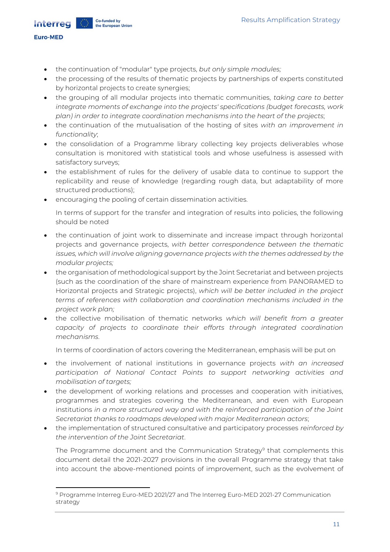**Euro-MED** 

Interrea

- the continuation of "modular" type projects, *but only simple modules;*
- the processing of the results of thematic projects by partnerships of experts constituted by horizontal projects to create synergies;
- the grouping of all modular projects into thematic communities, *taking care to better integrate moments of exchange into the projects' specifications (budget forecasts, work plan) in order to integrate coordination mechanisms into the heart of the projects*;
- the continuation of the mutualisation of the hosting of sites *with an improvement in functionality*;
- the consolidation of a Programme library collecting key projects deliverables whose consultation is monitored with statistical tools and whose usefulness is assessed with satisfactory surveys;
- the establishment of rules for the delivery of usable data to continue to support the replicability and reuse of knowledge (regarding rough data, but adaptability of more structured productions);
- encouraging the pooling of certain dissemination activities.

In terms of support for the transfer and integration of results into policies, the following should be noted

- the continuation of joint work to disseminate and increase impact through horizontal projects and governance projects, *with better correspondence between the thematic issues, which will involve aligning governance projects with the themes addressed by the modular projects;*
- the organisation of methodological support by the Joint Secretariat and between projects (such as the coordination of the share of mainstream experience from PANORAMED to Horizontal projects and Strategic projects), *which will be better included in the project terms of references with collaboration and coordination mechanisms included in the project work plan;*
- the collective mobilisation of thematic networks *which will benefit from a greater capacity of projects to coordinate their efforts through integrated coordination mechanisms*.

In terms of coordination of actors covering the Mediterranean, emphasis will be put on

- the involvement of national institutions in governance projects *with an increased participation of National Contact Points to support networking activities and mobilisation of targets;*
- the development of working relations and processes and cooperation with initiatives, programmes and strategies covering the Mediterranean, and even with European institutions *in a more structured way and with the reinforced participation of the Joint Secretariat thanks to roadmaps developed with major Mediterranean actors*;
- the implementation of structured consultative and participatory processes *reinforced by the intervention of the Joint Secretariat*.

The Programme document and the Communication Strategy<sup>9</sup> that complements this document detail the 2021-2027 provisions in the overall Programme strategy that take into account the above-mentioned points of improvement, such as the evolvement of

<sup>9</sup> Programme Interreg Euro-MED 2021/27 and The Interreg Euro-MED 2021-27 Communication strategy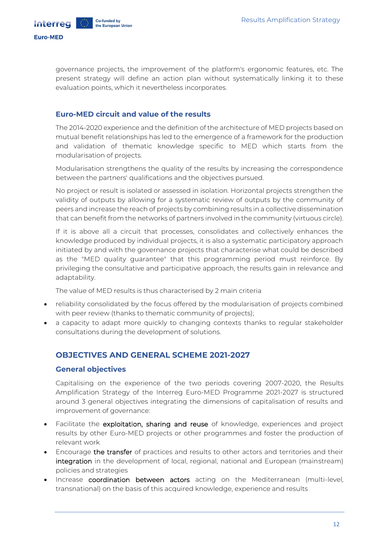

governance projects, the improvement of the platform's ergonomic features, etc. The present strategy will define an action plan without systematically linking it to these evaluation points, which it nevertheless incorporates.

### <span id="page-11-0"></span>**Euro-MED circuit and value of the results**

The 2014-2020 experience and the definition of the architecture of MED projects based on mutual benefit relationships has led to the emergence of a framework for the production and validation of thematic knowledge specific to MED which starts from the modularisation of projects.

Modularisation strengthens the quality of the results by increasing the correspondence between the partners' qualifications and the objectives pursued.

No project or result is isolated or assessed in isolation. Horizontal projects strengthen the validity of outputs by allowing for a systematic review of outputs by the community of peers and increase the reach of projects by combining results in a collective dissemination that can benefit from the networks of partners involved in the community (virtuous circle).

If it is above all a circuit that processes, consolidates and collectively enhances the knowledge produced by individual projects, it is also a systematic participatory approach initiated by and with the governance projects that characterise what could be described as the "MED quality guarantee" that this programming period must reinforce. By privileging the consultative and participative approach, the results gain in relevance and adaptability.

The value of MED results is thus characterised by 2 main criteria

- reliability consolidated by the focus offered by the modularisation of projects combined with peer review (thanks to thematic community of projects);
- a capacity to adapt more quickly to changing contexts thanks to regular stakeholder consultations during the development of solutions.

## <span id="page-11-1"></span>**OBJECTIVES AND GENERAL SCHEME 2021-2027**

#### <span id="page-11-2"></span>**General objectives**

Capitalising on the experience of the two periods covering 2007-2020, the Results Amplification Strategy of the Interreg Euro-MED Programme 2021-2027 is structured around 3 general objectives integrating the dimensions of capitalisation of results and improvement of governance:

- Facilitate the exploitation, sharing and reuse of knowledge, experiences and project results by other Euro-MED projects or other programmes and foster the production of relevant work
- Encourage the transfer of practices and results to other actors and territories and their integration in the development of local, regional, national and European (mainstream) policies and strategies
- Increase coordination between actors acting on the Mediterranean (multi-level, transnational) on the basis of this acquired knowledge, experience and results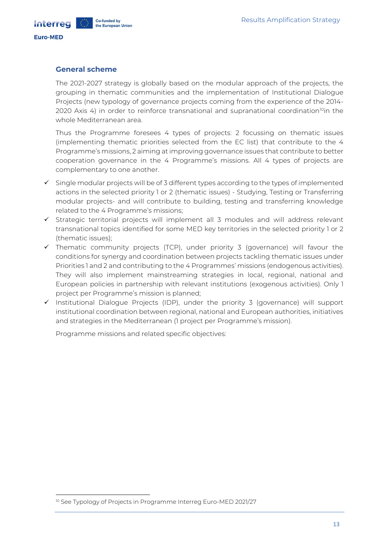Interred

#### <span id="page-12-0"></span>**General scheme**

The 2021-2027 strategy is globally based on the modular approach of the projects, the grouping in thematic communities and the implementation of Institutional Dialogue Projects (new typology of governance projects coming from the experience of the 2014- 2020 Axis 4) in order to reinforce transnational and supranational coordination<sup>10</sup>in the whole Mediterranean area.

Thus the Programme foresees 4 types of projects: 2 focussing on thematic issues (implementing thematic priorities selected from the EC list) that contribute to the 4 Programme's missions, 2 aiming at improving governance issues that contribute to better cooperation governance in the 4 Programme's missions. All 4 types of projects are complementary to one another.

- ✓ Single modular projects will be of 3 different types according to the types of implemented actions in the selected priority 1 or 2 (thematic issues) - Studying, Testing or Transferring modular projects- and will contribute to building, testing and transferring knowledge related to the 4 Programme's missions;
- ✓ Strategic territorial projects will implement all 3 modules and will address relevant transnational topics identified for some MED key territories in the selected priority 1 or 2 (thematic issues);
- ✓ Thematic community projects (TCP), under priority 3 (governance) will favour the conditions for synergy and coordination between projects tackling thematic issues under Priorities 1 and 2 and contributing to the 4 Programmes' missions (endogenous activities). They will also implement mainstreaming strategies in local, regional, national and European policies in partnership with relevant institutions (exogenous activities). Only 1 project per Programme's mission is planned;
- ✓ Institutional Dialogue Projects (IDP), under the priority 3 (governance) will support institutional coordination between regional, national and European authorities, initiatives and strategies in the Mediterranean (1 project per Programme's mission).

Programme missions and related specific objectives:

<sup>&</sup>lt;sup>10</sup> See Typology of Projects in Programme Interreg Euro-MED 2021/27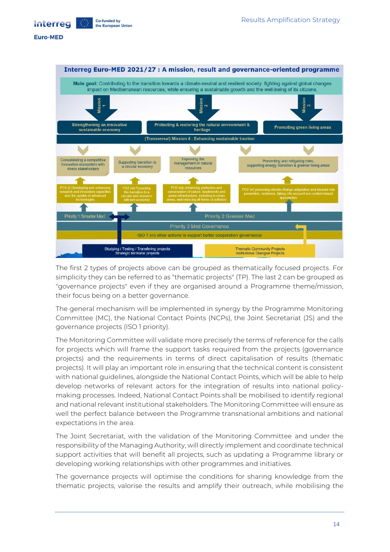Co-funded by Interreg the European Union

#### **Euro-MED**



The first 2 types of projects above can be grouped as thematically focused projects. For simplicity they can be referred to as "thematic projects" (TP). The last 2 can be grouped as "governance projects" even if they are organised around a Programme theme/mission, their focus being on a better governance.

The general mechanism will be implemented in synergy by the Programme Monitoring Committee (MC), the National Contact Points (NCPs), the Joint Secretariat (JS) and the governance projects (ISO 1 priority).

The Monitoring Committee will validate more precisely the terms of reference for the calls for projects which will frame the support tasks required from the projects (governance projects) and the requirements in terms of direct capitalisation of results (thematic projects). It will play an important role in ensuring that the technical content is consistent with national guidelines, alongside the National Contact Points, which will be able to help develop networks of relevant actors for the integration of results into national policymaking processes. Indeed, National Contact Points shall be mobilised to identify regional and national relevant institutional stakeholders. The Monitoring Committee will ensure as well the perfect balance between the Programme transnational ambitions and national expectations in the area.

The Joint Secretariat, with the validation of the Monitoring Committee and under the responsibility of the Managing Authority, will directly implement and coordinate technical support activities that will benefit all projects, such as updating a Programme library or developing working relationships with other programmes and initiatives.

The governance projects will optimise the conditions for sharing knowledge from the thematic projects, valorise the results and amplify their outreach, while mobilising the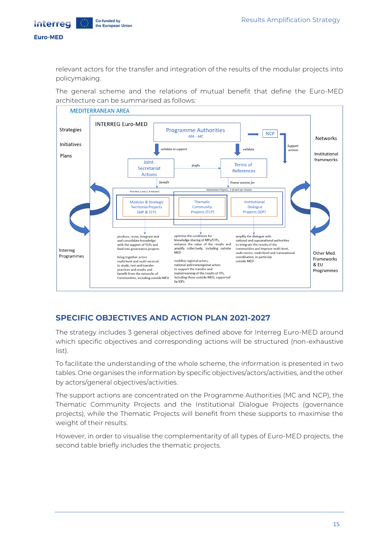**Interreg** 

Co-funded by

<span id="page-14-0"></span>the European Union

#### **Euro-MED**

relevant actors for the transfer and integration of the results of the modular projects into policymaking.

The general scheme and the relations of mutual benefit that define the Euro-MED architecture can be summarised as follows:



## **SPECIFIC OBJECTIVES AND ACTION PLAN 2021-2027**

The strategy includes 3 general objectives defined above for Interreg Euro-MED around which specific objectives and corresponding actions will be structured (non-exhaustive list).

To facilitate the understanding of the whole scheme, the information is presented in two tables. One organises the information by specific objectives/actors/activities, and the other by actors/general objectives/activities.

The support actions are concentrated on the Programme Authorities (MC and NCP), the Thematic Community Projects and the Institutional Dialogue Projects (governance projects), while the Thematic Projects will benefit from these supports to maximise the weight of their results.

However, in order to visualise the complementarity of all types of Euro-MED projects, the second table briefly includes the thematic projects.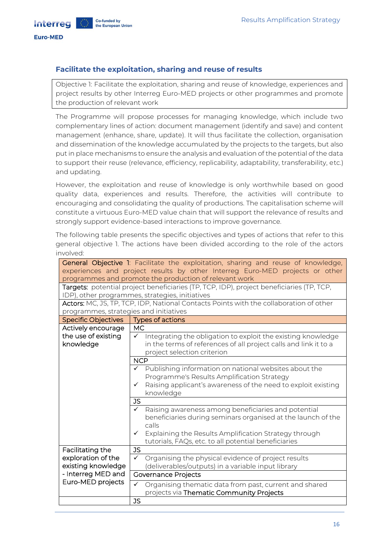Co-funded by

the European Union

#### <span id="page-15-0"></span>**Facilitate the exploitation, sharing and reuse of results**

Objective 1: Facilitate the exploitation, sharing and reuse of knowledge, experiences and project results by other Interreg Euro-MED projects or other programmes and promote the production of relevant work

The Programme will propose processes for managing knowledge, which include two complementary lines of action: document management (identify and save) and content management (enhance, share, update). It will thus facilitate the collection, organisation and dissemination of the knowledge accumulated by the projects to the targets, but also put in place mechanisms to ensure the analysis and evaluation of the potential of the data to support their reuse (relevance, efficiency, replicability, adaptability, transferability, etc.) and updating.

However, the exploitation and reuse of knowledge is only worthwhile based on good quality data, experiences and results. Therefore, the activities will contribute to encouraging and consolidating the quality of productions. The capitalisation scheme will constitute a virtuous Euro-MED value chain that will support the relevance of results and strongly support evidence-based interactions to improve governance.

The following table presents the specific objectives and types of actions that refer to this general objective 1. The actions have been divided according to the role of the actors involved:

|                                        | General Objective 1: Facilitate the exploitation, sharing and reuse of knowledge,        |
|----------------------------------------|------------------------------------------------------------------------------------------|
|                                        | experiences and project results by other Interreg Euro-MED projects or other             |
|                                        | programmes and promote the production of relevant work                                   |
|                                        | Targets: potential project beneficiaries (TP, TCP, IDP), project beneficiaries (TP, TCP, |
|                                        | IDP), other programmes, strategies, initiatives                                          |
|                                        | Actors: MC, JS, TP, TCP, IDP, National Contacts Points with the collaboration of other   |
| programmes, strategies and initiatives |                                                                                          |
| <b>Specific Objectives</b>             | Types of actions                                                                         |
| Actively encourage                     | MC.                                                                                      |
| the use of existing                    | Integrating the obligation to exploit the existing knowledge<br>$\checkmark$             |
| knowledge                              | in the terms of references of all project calls and link it to a                         |
|                                        | project selection criterion                                                              |
|                                        | <b>NCP</b>                                                                               |
|                                        | $\checkmark$ Publishing information on national websites about the                       |
|                                        | Programme's Results Amplification Strategy                                               |
|                                        | Raising applicant's awareness of the need to exploit existing<br>$\checkmark$            |
|                                        | knowledge                                                                                |
|                                        | <b>JS</b>                                                                                |
|                                        | Raising awareness among beneficiaries and potential<br>$\checkmark$                      |
|                                        | beneficiaries during seminars organised at the launch of the                             |
|                                        | calls                                                                                    |
|                                        | Explaining the Results Amplification Strategy through<br>✓                               |
|                                        | tutorials, FAQs, etc. to all potential beneficiaries                                     |
| Facilitating the                       | <b>JS</b>                                                                                |
| exploration of the                     | Organising the physical evidence of project results<br>✓                                 |
| existing knowledge                     | (deliverables/outputs) in a variable input library                                       |
|                                        |                                                                                          |
| - Interreg MED and                     | <b>Governance Projects</b>                                                               |
| Euro-MED projects                      | Organising thematic data from past, current and shared<br>✓                              |
|                                        | projects via Thematic Community Projects                                                 |
|                                        | <b>JS</b>                                                                                |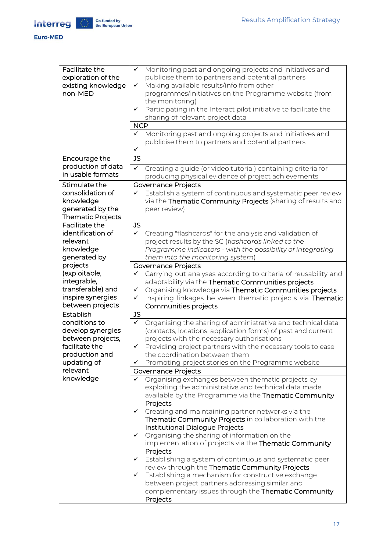

| Facilitate the           | Monitoring past and ongoing projects and initiatives and<br>✓                |
|--------------------------|------------------------------------------------------------------------------|
| exploration of the       | publicise them to partners and potential partners                            |
| existing knowledge       | Making available results/info from other<br>✓                                |
| non-MED                  | programmes/initiatives on the Programme website (from                        |
|                          | the monitoring)                                                              |
|                          | Participating in the Interact pilot initiative to facilitate the<br>✓        |
|                          | sharing of relevant project data                                             |
|                          |                                                                              |
|                          | <b>NCP</b>                                                                   |
|                          | Monitoring past and ongoing projects and initiatives and<br>✓                |
|                          | publicise them to partners and potential partners                            |
|                          | ✓                                                                            |
| Encourage the            | <b>JS</b>                                                                    |
| production of data       | $\checkmark$<br>Creating a guide (or video tutorial) containing criteria for |
| in usable formats        | producing physical evidence of project achievements                          |
| Stimulate the            | <b>Governance Projects</b>                                                   |
|                          |                                                                              |
| consolidation of         | Establish a system of continuous and systematic peer review<br>✓             |
| knowledge                | via the Thematic Community Projects (sharing of results and                  |
| generated by the         | peer review)                                                                 |
| <b>Thematic Projects</b> |                                                                              |
| Facilitate the           | <b>JS</b>                                                                    |
| identification of        | $\checkmark$<br>Creating "flashcards" for the analysis and validation of     |
| relevant                 | project results by the SC (flashcards linked to the                          |
| knowledge                | Programme indicators - with the possibility of integrating                   |
| generated by             | them into the monitoring system)                                             |
| projects                 | <b>Governance Projects</b>                                                   |
| (exploitable,            | Carrying out analyses according to criteria of reusability and<br>✓          |
| integrable,              | adaptability via the Thematic Communities projects                           |
| transferable) and        |                                                                              |
|                          | Organising knowledge via Thematic Communities projects<br>✓                  |
| inspire synergies        | Inspiring linkages between thematic projects via Thematic<br>✓               |
| between projects         | Communities projects                                                         |
| Establish                | <b>JS</b>                                                                    |
| conditions to            | Organising the sharing of administrative and technical data<br>$\checkmark$  |
| develop synergies        | (contacts, locations, application forms) of past and current                 |
| between projects,        | projects with the necessary authorisations                                   |
| facilitate the           | Providing project partners with the necessary tools to ease<br>✓             |
| production and           | the coordination between them                                                |
| updating of              | Promoting project stories on the Programme website<br>✓                      |
| relevant                 | Governance Projects                                                          |
| knowledge                | Organising exchanges between thematic projects by<br>✓                       |
|                          | exploiting the administrative and technical data made                        |
|                          | available by the Programme via the Thematic Community                        |
|                          |                                                                              |
|                          | Projects                                                                     |
|                          | Creating and maintaining partner networks via the<br>$\checkmark$            |
|                          | Thematic Community Projects in collaboration with the                        |
|                          | Institutional Dialogue Projects                                              |
|                          | Organising the sharing of information on the<br>$\checkmark$                 |
|                          | implementation of projects via the Thematic Community                        |
|                          | Projects                                                                     |
|                          | Establishing a system of continuous and systematic peer<br>$\checkmark$      |
|                          | review through the Thematic Community Projects                               |
|                          | Establishing a mechanism for constructive exchange<br>$\checkmark$           |
|                          | between project partners addressing similar and                              |
|                          | complementary issues through the Thematic Community                          |
|                          | Projects                                                                     |
|                          |                                                                              |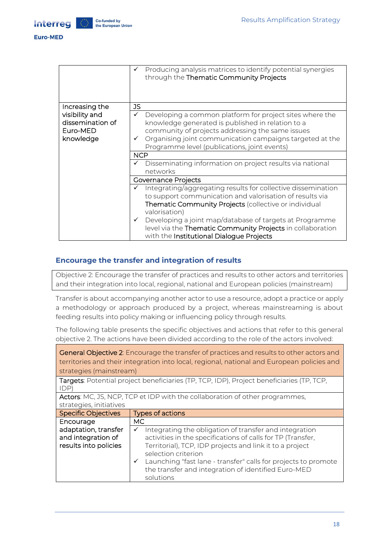

**Interreg** 

|                                                             | Producing analysis matrices to identify potential synergies<br>✓<br>through the Thematic Community Projects                                                                                                                                                                                                                                                                                    |
|-------------------------------------------------------------|------------------------------------------------------------------------------------------------------------------------------------------------------------------------------------------------------------------------------------------------------------------------------------------------------------------------------------------------------------------------------------------------|
| Increasing the                                              | JS                                                                                                                                                                                                                                                                                                                                                                                             |
| visibility and<br>dissemination of<br>Euro-MED<br>knowledge | Developing a common platform for project sites where the<br>✓<br>knowledge generated is published in relation to a<br>community of projects addressing the same issues<br>Organising joint communication campaigns targeted at the<br>Programme level (publications, joint events)<br><b>NCP</b>                                                                                               |
|                                                             | Disseminating information on project results via national<br>networks                                                                                                                                                                                                                                                                                                                          |
|                                                             | Governance Projects                                                                                                                                                                                                                                                                                                                                                                            |
|                                                             | Integrating/aggregating results for collective dissemination<br>to support communication and valorisation of results via<br><b>Thematic Community Projects</b> (collective or individual<br>valorisation)<br>Developing a joint map/database of targets at Programme<br>$\checkmark$<br>level via the Thematic Community Projects in collaboration<br>with the Institutional Dialogue Projects |

### <span id="page-17-0"></span>**Encourage the transfer and integration of results**

Objective 2: Encourage the transfer of practices and results to other actors and territories and their integration into local, regional, national and European policies (mainstream)

Transfer is about accompanying another actor to use a resource, adopt a practice or apply a methodology or approach produced by a project, whereas mainstreaming is about feeding results into policy making or influencing policy through results.

The following table presents the specific objectives and actions that refer to this general objective 2. The actions have been divided according to the role of the actors involved:

General Objective 2: Encourage the transfer of practices and results to other actors and territories and their integration into local, regional, national and European policies and strategies (mainstream)

Targets: Potential project beneficiaries (TP, TCP, IDP), Project beneficiaries (TP, TCP, IDP)

Actors: MC, JS, NCP, TCP et IDP with the collaboration of other programmes, strategies, initiatives

| <b>Specific Objectives</b> | Types of actions                                               |  |
|----------------------------|----------------------------------------------------------------|--|
| Encourage                  | MC.                                                            |  |
| adaptation, transfer       | Integrating the obligation of transfer and integration         |  |
| and integration of         | activities in the specifications of calls for TP (Transfer,    |  |
| results into policies      | Territorial), TCP, IDP projects and link it to a project       |  |
|                            | selection criterion                                            |  |
|                            | Launching "fast lane - transfer" calls for projects to promote |  |
|                            | the transfer and integration of identified Euro-MED            |  |
|                            | solutions                                                      |  |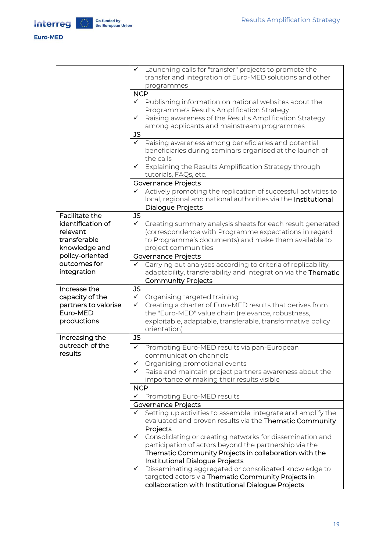#### Euro-MED

|                                   | Launching calls for "transfer" projects to promote the<br>✓<br>transfer and integration of Euro-MED solutions and other |
|-----------------------------------|-------------------------------------------------------------------------------------------------------------------------|
|                                   | programmes                                                                                                              |
|                                   | <b>NCP</b>                                                                                                              |
|                                   | Publishing information on national websites about the<br>$\checkmark$                                                   |
|                                   | Programme's Results Amplification Strategy                                                                              |
|                                   | Raising awareness of the Results Amplification Strategy<br>✓                                                            |
|                                   | among applicants and mainstream programmes                                                                              |
|                                   | JS                                                                                                                      |
|                                   | Raising awareness among beneficiaries and potential<br>$\checkmark$                                                     |
|                                   | beneficiaries during seminars organised at the launch of                                                                |
|                                   | the calls                                                                                                               |
|                                   | Explaining the Results Amplification Strategy through<br>$\checkmark$                                                   |
|                                   | tutorials, FAQs, etc.                                                                                                   |
|                                   | Governance Projects                                                                                                     |
|                                   | Actively promoting the replication of successful activities to                                                          |
|                                   | local, regional and national authorities via the Institutional                                                          |
|                                   | Dialogue Projects                                                                                                       |
| Facilitate the                    | <b>JS</b>                                                                                                               |
| identification of                 | $\checkmark$<br>Creating summary analysis sheets for each result generated                                              |
| relevant                          | (correspondence with Programme expectations in regard                                                                   |
| transferable                      | to Programme's documents) and make them available to                                                                    |
| knowledge and                     | project communities                                                                                                     |
| policy-oriented                   | Governance Projects                                                                                                     |
| outcomes for                      | Carrying out analyses according to criteria of replicability,                                                           |
| integration                       | adaptability, transferability and integration via the Thematic                                                          |
|                                   | <b>Community Projects</b>                                                                                               |
| Increase the                      | JS                                                                                                                      |
| capacity of the                   | $\checkmark$<br>Organising targeted training                                                                            |
| partners to valorise              | Creating a charter of Euro-MED results that derives from<br>$\checkmark$                                                |
| Euro-MED                          | the "Euro-MED" value chain (relevance, robustness,                                                                      |
| productions                       | exploitable, adaptable, transferable, transformative policy                                                             |
|                                   | orientation)                                                                                                            |
| Increasing the<br>outreach of the | <b>JS</b>                                                                                                               |
| results                           | Promoting Euro-MED results via pan-European<br>$\checkmark$                                                             |
|                                   | communication channels                                                                                                  |
|                                   | Organising promotional events                                                                                           |
|                                   | $\checkmark$ Raise and maintain project partners awareness about the                                                    |
|                                   | importance of making their results visible                                                                              |
|                                   | <b>NCP</b>                                                                                                              |
|                                   | Promoting Euro-MED results<br>✓                                                                                         |
|                                   | Governance Projects                                                                                                     |
|                                   | Setting up activities to assemble, integrate and amplify the<br>✓                                                       |
|                                   | evaluated and proven results via the Thematic Community                                                                 |
|                                   | Projects<br>$\checkmark$                                                                                                |
|                                   | Consolidating or creating networks for dissemination and<br>participation of actors beyond the partnership via the      |
|                                   | Thematic Community Projects in collaboration with the                                                                   |
|                                   | Institutional Dialogue Projects                                                                                         |
|                                   | Disseminating aggregated or consolidated knowledge to<br>$\checkmark$                                                   |
|                                   | targeted actors via Thematic Community Projects in                                                                      |
|                                   | collaboration with Institutional Dialogue Projects                                                                      |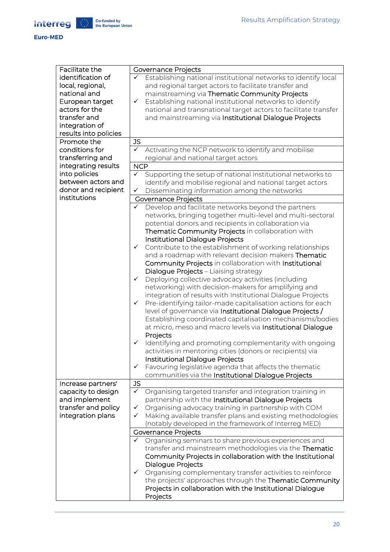**Euro-MED** 

| Facilitate the        |              | Governance Projects                                             |
|-----------------------|--------------|-----------------------------------------------------------------|
| identification of     | $\checkmark$ | Establishing national institutional networks to identify local  |
| local, regional,      |              | and regional target actors to facilitate transfer and           |
| national and          |              | mainstreaming via Thematic Community Projects                   |
| European target       | $\checkmark$ | Establishing national institutional networks to identify        |
| actors for the        |              | national and transnational target actors to facilitate transfer |
| transfer and          |              | and mainstreaming via Institutional Dialogue Projects           |
| integration of        |              |                                                                 |
| results into policies |              |                                                                 |
| Promote the           | <b>JS</b>    |                                                                 |
| conditions for        | $\checkmark$ | Activating the NCP network to identify and mobilise             |
| transferring and      |              | regional and national target actors                             |
| integrating results   | <b>NCP</b>   |                                                                 |
| into policies         | $\checkmark$ | Supporting the setup of national institutional networks to      |
| between actors and    |              | identify and mobilise regional and national target actors       |
| donor and recipient   | ✓            | Disseminating information among the networks                    |
| institutions          |              | Governance Projects                                             |
|                       | ✓            | Develop and facilitate networks beyond the partners             |
|                       |              | networks, bringing together multi-level and multi-sectoral      |
|                       |              | potential donors and recipients in collaboration via            |
|                       |              | Thematic Community Projects in collaboration with               |
|                       |              | Institutional Dialogue Projects                                 |
|                       | $\checkmark$ | Contribute to the establishment of working relationships        |
|                       |              | and a roadmap with relevant decision makers Thematic            |
|                       |              | Community Projects in collaboration with Institutional          |
|                       |              | Dialogue Projects - Liaising strategy                           |
|                       | $\checkmark$ | Deploying collective advocacy activities (including             |
|                       |              | networking) with decision-makers for amplifying and             |
|                       |              | integration of results with Institutional Dialogue Projects     |
|                       | ✓            | Pre-identifying tailor-made capitalisation actions for each     |
|                       |              | level of governance via Institutional Dialogue Projects /       |
|                       |              | Establishing coordinated capitalisation mechanisms/bodies       |
|                       |              | at micro, meso and macro levels via Institutional Dialogue      |
|                       |              | Projects                                                        |
|                       | ✓            | Identifying and promoting complementarity with ongoing          |
|                       |              | activities in mentoring cities (donors or recipients) via       |
|                       |              | Institutional Dialogue Projects                                 |
|                       | ✓            | Favouring legislative agenda that affects the thematic          |
|                       |              | communities via the Institutional Dialogue Projects             |
| Increase partners'    | <b>JS</b>    |                                                                 |
| capacity to design    | ✓            | Organising targeted transfer and integration training in        |
| and implement         |              | partnership with the Institutional Dialogue Projects            |
| transfer and policy   | ✓            | Organising advocacy training in partnership with COM            |
| integration plans     | ✓            | Making available transfer plans and existing methodologies      |
|                       |              | (notably developed in the framework of Interreg MED)            |
|                       |              | <b>Governance Projects</b>                                      |
|                       | $\checkmark$ | Organising seminars to share previous experiences and           |
|                       |              | transfer and mainstream methodologies via the Thematic          |
|                       |              | Community Projects in collaboration with the Institutional      |
|                       |              | Dialogue Projects                                               |
|                       | ✓            | Organising complementary transfer activities to reinforce       |
|                       |              | the projects' approaches through the Thematic Community         |
|                       |              | Projects in collaboration with the Institutional Dialogue       |
|                       |              | Projects                                                        |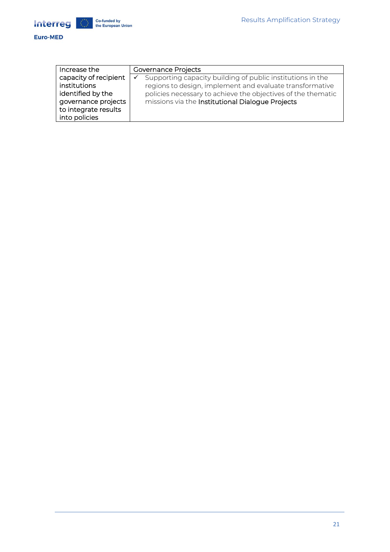

| Increase the          | Governance Projects                                             |
|-----------------------|-----------------------------------------------------------------|
| capacity of recipient | Supporting capacity building of public institutions in the<br>✓ |
| institutions          | regions to design, implement and evaluate transformative        |
| identified by the     | policies necessary to achieve the objectives of the thematic    |
| governance projects   | missions via the Institutional Dialogue Projects                |
| to integrate results  |                                                                 |
| into policies         |                                                                 |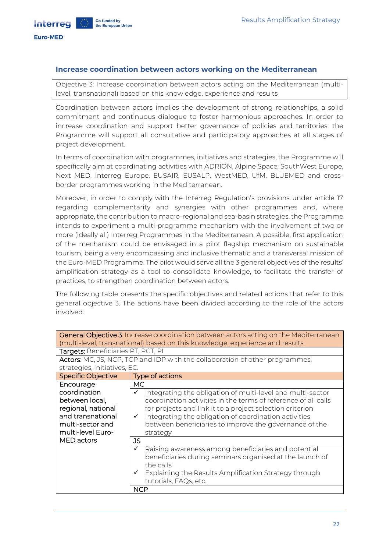#### <span id="page-21-0"></span>**Increase coordination between actors working on the Mediterranean**

Objective 3: Increase coordination between actors acting on the Mediterranean (multilevel, transnational) based on this knowledge, experience and results

Coordination between actors implies the development of strong relationships, a solid commitment and continuous dialogue to foster harmonious approaches. In order to increase coordination and support better governance of policies and territories, the Programme will support all consultative and participatory approaches at all stages of project development.

In terms of coordination with programmes, initiatives and strategies, the Programme will specifically aim at coordinating activities with ADRION, Alpine Space, SouthWest Europe, Next MED, Interreg Europe, EUSAIR, EUSALP, WestMED, UfM, BLUEMED and crossborder programmes working in the Mediterranean.

Moreover, in order to comply with the Interreg Regulation's provisions under article 17 regarding complementarity and synergies with other programmes and, where appropriate, the contribution to macro-regional and sea-basin strategies, the Programme intends to experiment a multi-programme mechanism with the involvement of two or more (ideally all) Interreg Programmes in the Mediterranean. A possible, first application of the mechanism could be envisaged in a pilot flagship mechanism on sustainable tourism, being a very encompassing and inclusive thematic and a transversal mission of the Euro-MED Programme. The pilot would serve all the 3 general objectives of the results' amplification strategy as a tool to consolidate knowledge, to facilitate the transfer of practices, to strengthen coordination between actors.

The following table presents the specific objectives and related actions that refer to this general objective 3. The actions have been divided according to the role of the actors involved:

|                                                                                                                    | General Objective 3: Increase coordination between actors acting on the Mediterranean<br>(multi-level, transnational) based on this knowledge, experience and results                                                                                                                                                                    |
|--------------------------------------------------------------------------------------------------------------------|------------------------------------------------------------------------------------------------------------------------------------------------------------------------------------------------------------------------------------------------------------------------------------------------------------------------------------------|
| Targets: Beneficiaries PT, PCT, PI                                                                                 |                                                                                                                                                                                                                                                                                                                                          |
|                                                                                                                    | Actors: MC, JS, NCP, TCP and IDP with the collaboration of other programmes,                                                                                                                                                                                                                                                             |
| strategies, initiatives, EC.                                                                                       |                                                                                                                                                                                                                                                                                                                                          |
| <b>Specific Objective</b>                                                                                          | Type of actions                                                                                                                                                                                                                                                                                                                          |
| Encourage                                                                                                          | <b>MC</b>                                                                                                                                                                                                                                                                                                                                |
| coordination<br>between local,<br>regional, national<br>and transnational<br>multi-sector and<br>multi-level Euro- | Integrating the obligation of multi-level and multi-sector<br>coordination activities in the terms of reference of all calls<br>for projects and link it to a project selection criterion<br>Integrating the obligation of coordination activities<br>$\checkmark$<br>between beneficiaries to improve the governance of the<br>strategy |
| MED actors                                                                                                         | <b>JS</b>                                                                                                                                                                                                                                                                                                                                |
|                                                                                                                    | Raising awareness among beneficiaries and potential<br>✓<br>beneficiaries during seminars organised at the launch of<br>the calls<br>Explaining the Results Amplification Strategy through<br>tutorials, FAQs, etc.                                                                                                                      |
|                                                                                                                    | NCP                                                                                                                                                                                                                                                                                                                                      |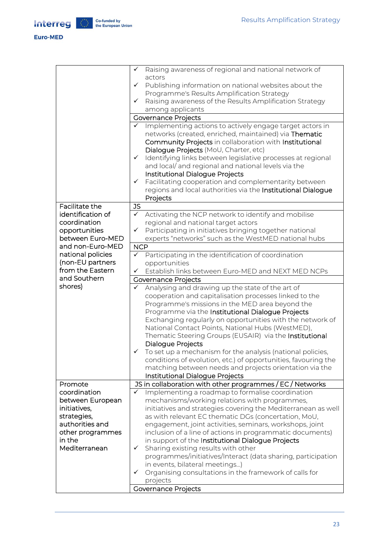#### Euro-MED

|                   | ✓            | Raising awareness of regional and national network of          |
|-------------------|--------------|----------------------------------------------------------------|
|                   |              | actors                                                         |
|                   | $\checkmark$ | Publishing information on national websites about the          |
|                   |              | Programme's Results Amplification Strategy                     |
|                   | ✓            | Raising awareness of the Results Amplification Strategy        |
|                   |              | among applicants                                               |
|                   |              | <b>Governance Projects</b>                                     |
|                   | ✓            | Implementing actions to actively engage target actors in       |
|                   |              | networks (created, enriched, maintained) via Thematic          |
|                   |              | Community Projects in collaboration with Institutional         |
|                   |              | Dialogue Projects (MoU, Charter, etc)                          |
|                   | $\checkmark$ | Identifying links between legislative processes at regional    |
|                   |              | and local/ and regional and national levels via the            |
|                   |              | Institutional Dialogue Projects                                |
|                   | $\checkmark$ | Facilitating cooperation and complementarity between           |
|                   |              | regions and local authorities via the Institutional Dialogue   |
|                   |              | Projects                                                       |
| Facilitate the    | <b>JS</b>    |                                                                |
| identification of | $\checkmark$ | Activating the NCP network to identify and mobilise            |
| coordination      |              | regional and national target actors                            |
| opportunities     | $\checkmark$ | Participating in initiatives bringing together national        |
| between Euro-MED  |              | experts "networks" such as the WestMED national hubs           |
| and non-Euro-MED  | <b>NCP</b>   |                                                                |
| national policies | $\checkmark$ | Participating in the identification of coordination            |
| (non-EU partners  |              | opportunities                                                  |
| from the Eastern  | $\checkmark$ | Establish links between Euro-MED and NEXT MED NCPs             |
| and Southern      |              |                                                                |
|                   |              | Governance Projects                                            |
| shores)           | ✓            | Analysing and drawing up the state of the art of               |
|                   |              | cooperation and capitalisation processes linked to the         |
|                   |              | Programme's missions in the MED area beyond the                |
|                   |              | Programme via the Institutional Dialogue Projects              |
|                   |              | Exchanging regularly on opportunities with the network of      |
|                   |              | National Contact Points, National Hubs (WestMED),              |
|                   |              | Thematic Steering Groups (EUSAIR) via the Institutional        |
|                   |              | Dialogue Projects                                              |
|                   | ✓            | To set up a mechanism for the analysis (national policies,     |
|                   |              | conditions of evolution, etc.) of opportunities, favouring the |
|                   |              | matching between needs and projects orientation via the        |
|                   |              | Institutional Dialogue Projects                                |
| Promote           |              | JS in collaboration with other programmes / EC / Networks      |
| coordination      | ✓            | Implementing a roadmap to formalise coordination               |
| between European  |              | mechanisms/working relations with programmes,                  |
| initiatives,      |              | initiatives and strategies covering the Mediterranean as well  |
| strategies,       |              | as with relevant EC thematic DGs (concertation, MoU,           |
| authorities and   |              | engagement, joint activities, seminars, workshops, joint       |
| other programmes  |              | inclusion of a line of actions in programmatic documents)      |
| in the            |              | in support of the Institutional Dialogue Projects              |
| Mediterranean     | $\checkmark$ | Sharing existing results with other                            |
|                   |              | programmes/initiatives/Interact (data sharing, participation   |
|                   |              | in events, bilateral meetings)                                 |
|                   | ✓            | Organising consultations in the framework of calls for         |
|                   |              | projects                                                       |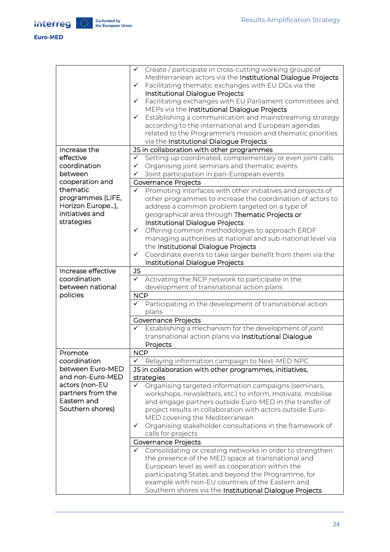#### Euro-MED

|                    | Create / participate in cross-cutting working groups of<br>✓                |
|--------------------|-----------------------------------------------------------------------------|
|                    | Mediterranean actors via the Institutional Dialogue Projects                |
|                    |                                                                             |
|                    | Facilitating thematic exchanges with EU DGs via the<br>✓                    |
|                    | Institutional Dialogue Projects                                             |
|                    | Facilitating exchanges with EU Parliament committees and<br>✓               |
|                    | MEPs via the Institutional Dialogue Projects                                |
|                    | Establishing a communication and mainstreaming strategy<br>$\checkmark$     |
|                    | according to the international and European agendas                         |
|                    | related to the Programme's mission and thematic priorities                  |
|                    |                                                                             |
|                    | via the Institutional Dialogue Projects                                     |
| Increase the       | JS in collaboration with other programmes                                   |
| effective          | Setting up coordinated, complementary or even joint calls<br>$\checkmark$   |
| coordination       | Organising joint seminars and thematic events<br>$\checkmark$               |
| between            | Joint participation in pan-European events                                  |
| cooperation and    | <b>Governance Projects</b>                                                  |
| thematic           | Promoting interfaces with other initiatives and projects of<br>$\checkmark$ |
| programmes (LIFE,  |                                                                             |
|                    | other programmes to increase the coordination of actors to                  |
| Horizon Europe),   | address a common problem targeted on a type of                              |
| initiatives and    | geographical area through Thematic Projects or                              |
| strategies         | Institutional Dialogue Projects                                             |
|                    | Offering common methodologies to approach ERDF<br>✓                         |
|                    | managing authorities at national and sub-national level via                 |
|                    | the Institutional Dialogue Projects                                         |
|                    | Coordinate events to take larger benefit from them via the<br>✓             |
|                    | Institutional Dialogue Projects                                             |
| Increase effective | <b>JS</b>                                                                   |
|                    |                                                                             |
| coordination       | $\checkmark$<br>Activating the NCP network to participate in the            |
| between national   | development of transnational action plans                                   |
| policies           | <b>NCP</b>                                                                  |
|                    | Participating in the development of transnational action<br>✓               |
|                    | plans                                                                       |
|                    | <b>Governance Projects</b>                                                  |
|                    | Establishing a mechanism for the development of joint                       |
|                    | transnational action plans via Institutional Dialogue                       |
|                    | Projects                                                                    |
| Promote            | <b>NCP</b>                                                                  |
| coordination       | Relaying information campaign to Next-MED NPC                               |
| between Euro-MED   | JS in collaboration with other programmes, initiatives,                     |
| and non-Euro-MED   | strategies                                                                  |
| actors (non-EU     | Organising targeted information campaigns (seminars,<br>✓                   |
| partners from the  |                                                                             |
| Eastern and        | workshops, newsletters, etc.) to inform, motivate, mobilise                 |
|                    | and engage partners outside Euro-MED in the transfer of                     |
| Southern shores)   | project results in collaboration with actors outside Euro-                  |
|                    | MED covering the Mediterranean                                              |
|                    | Organising stakeholder consultations in the framework of<br>✓               |
|                    | calls for projects                                                          |
|                    | <b>Governance Projects</b>                                                  |
|                    | Consolidating or creating networks in order to strengthen                   |
|                    | the presence of the MED space at transnational and                          |
|                    | European level as well as cooperation within the                            |
|                    | participating States and beyond the Programme, for                          |
|                    |                                                                             |
|                    | example with non-EU countries of the Eastern and                            |
|                    | Southern shores via the Institutional Dialogue Projects                     |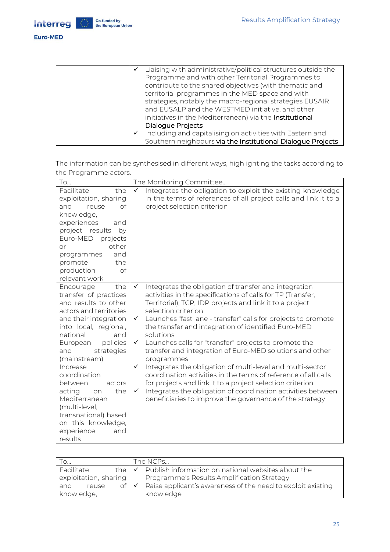

|   | Liaising with administrative/political structures outside the |
|---|---------------------------------------------------------------|
|   | Programme and with other Territorial Programmes to            |
|   | contribute to the shared objectives (with thematic and        |
|   | territorial programmes in the MED space and with              |
|   | strategies, notably the macro-regional strategies EUSAIR      |
|   | and EUSALP and the WESTMED initiative, and other              |
|   | initiatives in the Mediterranean) via the Institutional       |
|   | Dialogue Projects                                             |
| ✓ | Including and capitalising on activities with Eastern and     |
|   | Southern neighbours via the Institutional Dialogue Projects   |

|                       | The information can be synthesised in different ways, highlighting the tasks according to |  |  |
|-----------------------|-------------------------------------------------------------------------------------------|--|--|
| the Programme actors. |                                                                                           |  |  |

| To                                                                                                                                                                                                                                               | The Monitoring Committee                                                                                                                                                                                                                                                                                                                                                                                                                                                                                                        |
|--------------------------------------------------------------------------------------------------------------------------------------------------------------------------------------------------------------------------------------------------|---------------------------------------------------------------------------------------------------------------------------------------------------------------------------------------------------------------------------------------------------------------------------------------------------------------------------------------------------------------------------------------------------------------------------------------------------------------------------------------------------------------------------------|
| Facilitate<br>the<br>exploitation, sharing<br>of<br>and<br>reuse<br>knowledge,<br>experiences<br>and<br>project results<br>by<br>Euro-MED<br>projects<br>other<br>or<br>and<br>programmes<br>the<br>promote<br>of<br>production<br>relevant work | Integrates the obligation to exploit the existing knowledge<br>$\checkmark$<br>in the terms of references of all project calls and link it to a<br>project selection criterion                                                                                                                                                                                                                                                                                                                                                  |
| Encourage<br>the<br>transfer of practices<br>and results to other<br>actors and territories<br>and their integration<br>into local, regional,<br>national<br>and<br>European<br>policies<br>strategies<br>and<br>(mainstream)                    | Integrates the obligation of transfer and integration<br>$\checkmark$<br>activities in the specifications of calls for TP (Transfer,<br>Territorial), TCP, IDP projects and link it to a project<br>selection criterion<br>Launches "fast lane - transfer" calls for projects to promote<br>$\checkmark$<br>the transfer and integration of identified Euro-MED<br>solutions<br>Launches calls for "transfer" projects to promote the<br>$\checkmark$<br>transfer and integration of Euro-MED solutions and other<br>programmes |
| Increase<br>coordination<br>between<br>actors<br>acting<br>the<br>on<br>Mediterranean<br>(multi-level,<br>transnational) based<br>on this knowledge,<br>experience<br>and<br>results                                                             | Integrates the obligation of multi-level and multi-sector<br>$\checkmark$<br>coordination activities in the terms of reference of all calls<br>for projects and link it to a project selection criterion<br>Integrates the obligation of coordination activities between<br>$\checkmark$<br>beneficiaries to improve the governance of the strategy                                                                                                                                                                             |

| $1^{\circ}$ O         |                 | The NCPs                                                                    |
|-----------------------|-----------------|-----------------------------------------------------------------------------|
| Facilitate            |                 | the $\sqrt{\phantom{a}}$ Publish information on national websites about the |
| exploitation, sharing |                 | Programme's Results Amplification Strategy                                  |
| and<br>reuse          | $of \checkmark$ | Raise applicant's awareness of the need to exploit existing                 |
| knowledge,            |                 | knowledge                                                                   |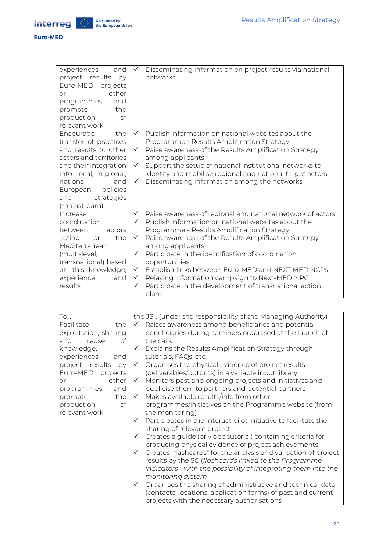

| experiences<br>and<br>project results<br>by<br>Euro-MED projects<br>other<br>or<br>and<br>programmes<br>the<br>promote<br>$\circ f$<br>production<br>relevant work                                                            | ✓                                                     | Disseminating information on project results via national<br>networks                                                                                                                                                                                                                                                                                                                                                                                                                       |
|-------------------------------------------------------------------------------------------------------------------------------------------------------------------------------------------------------------------------------|-------------------------------------------------------|---------------------------------------------------------------------------------------------------------------------------------------------------------------------------------------------------------------------------------------------------------------------------------------------------------------------------------------------------------------------------------------------------------------------------------------------------------------------------------------------|
| the<br>Encourage<br>transfer of practices<br>and results to other<br>actors and territories<br>and their integration<br>into local, regional,<br>national<br>and<br>policies<br>European<br>strategies<br>and<br>(mainstream) | $\checkmark$<br>✓<br>$\checkmark$<br>✓                | Publish information on national websites about the<br>Programme's Results Amplification Strategy<br>Raise awareness of the Results Amplification Strategy<br>among applicants<br>Support the setup of national institutional networks to<br>identify and mobilise regional and national target actors<br>Disseminating information among the networks                                                                                                                                       |
| Increase<br>coordination<br>between<br>actors<br>the<br>acting<br>on<br>Mediterranean<br>(multi-level,<br>transnational) based<br>on this knowledge,<br>experience<br>and<br>results                                          | ✓<br>✓<br>$\checkmark$<br>✓<br>✓<br>$\checkmark$<br>✓ | Raise awareness of regional and national network of actors<br>Publish information on national websites about the<br>Programme's Results Amplification Strategy<br>Raise awareness of the Results Amplification Strategy<br>among applicants<br>Participate in the identification of coordination<br>opportunities<br>Establish links between Euro-MED and NEXT MED NCPs<br>Relaying information campaign to Next-MED NPC<br>Participate in the development of transnational action<br>plans |

| <b>To</b>             | the JS (under the responsibility of the Managing Authority)                     |
|-----------------------|---------------------------------------------------------------------------------|
| Facilitate<br>the     | Raises awareness among beneficiaries and potential<br>✓                         |
| exploitation, sharing | beneficiaries during seminars organised at the launch of                        |
| оf<br>and<br>reuse    | the calls                                                                       |
| knowledge,            | Explains the Results Amplification Strategy through                             |
| experiences<br>and    | tutorials, FAQs, etc.                                                           |
| project results<br>by | Organises the physical evidence of project results<br>$\checkmark$              |
| Euro-MED projects     | (deliverables/outputs) in a variable input library                              |
| other<br><b>or</b>    | Monitors past and ongoing projects and initiatives and<br>$\checkmark$          |
| and<br>programmes     | publicise them to partners and potential partners                               |
| the<br>promote        | Makes available results/info from other<br>$\checkmark$                         |
| of<br>production      | programmes/initiatives on the Programme website (from                           |
| relevant work         | the monitoring)                                                                 |
|                       | Participates in the Interact pilot initiative to facilitate the<br>$\checkmark$ |
|                       | sharing of relevant project                                                     |
|                       | $\checkmark$ Creates a guide (or video tutorial) containing criteria for        |
|                       | producing physical evidence of project achievements                             |
|                       | Creates "flashcards" for the analysis and validation of project<br>$\checkmark$ |
|                       | results by the SC (flashcards linked to the Programme                           |
|                       | indicators - with the possibility of integrating them into the                  |
|                       | monitoring system)                                                              |
|                       | Organises the sharing of administrative and technical data<br>$\checkmark$      |
|                       | (contacts, locations, application forms) of past and current                    |
|                       | projects with the necessary authorisations                                      |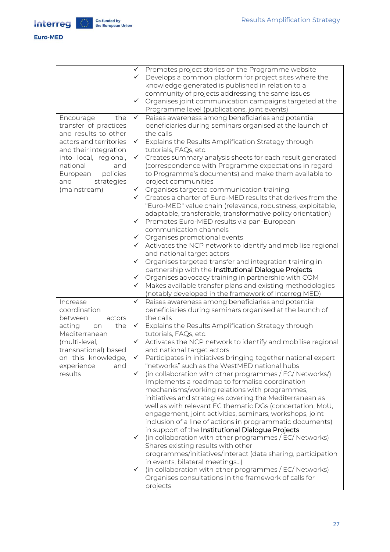Euro-MED

|                          | $\checkmark$ | Promotes project stories on the Programme website                                                          |
|--------------------------|--------------|------------------------------------------------------------------------------------------------------------|
|                          | $\checkmark$ | Develops a common platform for project sites where the                                                     |
|                          |              | knowledge generated is published in relation to a                                                          |
|                          |              | community of projects addressing the same issues                                                           |
|                          | $\checkmark$ | Organises joint communication campaigns targeted at the                                                    |
|                          |              | Programme level (publications, joint events)                                                               |
| Encourage<br>the         | $\checkmark$ | Raises awareness among beneficiaries and potential                                                         |
| transfer of practices    |              | beneficiaries during seminars organised at the launch of                                                   |
| and results to other     |              | the calls                                                                                                  |
| actors and territories   | ✓            | Explains the Results Amplification Strategy through                                                        |
| and their integration    |              | tutorials, FAQs, etc.                                                                                      |
| into local, regional,    | ✓            | Creates summary analysis sheets for each result generated                                                  |
| national<br>and          |              | (correspondence with Programme expectations in regard                                                      |
| policies<br>European     |              | to Programme's documents) and make them available to                                                       |
| and<br>strategies        |              | project communities                                                                                        |
| (mainstream)             | $\checkmark$ | Organises targeted communication training                                                                  |
|                          | $\checkmark$ | Creates a charter of Euro-MED results that derives from the                                                |
|                          |              | "Euro-MED" value chain (relevance, robustness, exploitable,                                                |
|                          |              | adaptable, transferable, transformative policy orientation)                                                |
|                          | $\checkmark$ | Promotes Euro-MED results via pan-European                                                                 |
|                          |              | communication channels                                                                                     |
|                          | $\checkmark$ | Organises promotional events                                                                               |
|                          | ✓            | Activates the NCP network to identify and mobilise regional                                                |
|                          |              | and national target actors                                                                                 |
|                          | $\checkmark$ | Organises targeted transfer and integration training in                                                    |
|                          |              | partnership with the Institutional Dialogue Projects                                                       |
|                          | $\checkmark$ | Organises advocacy training in partnership with COM                                                        |
|                          | $\checkmark$ | Makes available transfer plans and existing methodologies                                                  |
|                          | $\checkmark$ | (notably developed in the framework of Interreg MED)<br>Raises awareness among beneficiaries and potential |
| Increase<br>coordination |              | beneficiaries during seminars organised at the launch of                                                   |
| between<br>actors        |              | the calls                                                                                                  |
| acting<br>the<br>on      | $\checkmark$ | Explains the Results Amplification Strategy through                                                        |
| Mediterranean            |              | tutorials, FAQs, etc.                                                                                      |
| (multi-level,            | $\checkmark$ | Activates the NCP network to identify and mobilise regional                                                |
| transnational) based     |              | and national target actors                                                                                 |
| on this knowledge,       | ✓            | Participates in initiatives bringing together national expert                                              |
| experience<br>and        |              | "networks" such as the WestMED national hubs                                                               |
| results                  | ✓            | (in collaboration with other programmes / EC/ Networks/)                                                   |
|                          |              | Implements a roadmap to formalise coordination                                                             |
|                          |              | mechanisms/working relations with programmes,                                                              |
|                          |              | initiatives and strategies covering the Mediterranean as                                                   |
|                          |              | well as with relevant EC thematic DGs (concertation, MoU,                                                  |
|                          |              | engagement, joint activities, seminars, workshops, joint                                                   |
|                          |              | inclusion of a line of actions in programmatic documents)                                                  |
|                          |              | in support of the Institutional Dialogue Projects                                                          |
|                          | $\checkmark$ | (in collaboration with other programmes / EC/ Networks)                                                    |
|                          |              | Shares existing results with other                                                                         |
|                          |              | programmes/initiatives/Interact (data sharing, participation                                               |
|                          |              | in events, bilateral meetings)                                                                             |
|                          | $\checkmark$ | (in collaboration with other programmes / EC/ Networks)                                                    |
|                          |              | Organises consultations in the framework of calls for                                                      |
|                          |              | projects                                                                                                   |
|                          |              |                                                                                                            |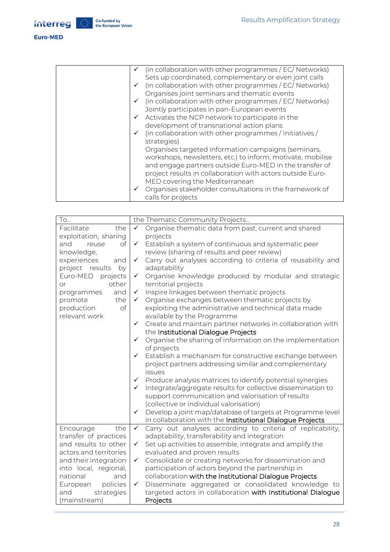#### Euro-MED

| (in collaboration with other programmes / EC/ Networks)<br>Sets up coordinated, complementary or even joint calls |
|-------------------------------------------------------------------------------------------------------------------|
| (in collaboration with other programmes / EC/ Networks)                                                           |
| Organises joint seminars and thematic events                                                                      |
| $\checkmark$ (in collaboration with other programmes / EC/ Networks)                                              |
| Jointly participates in pan-European events                                                                       |
| $\checkmark$ Activates the NCP network to participate in the                                                      |
| development of transnational action plans                                                                         |
| (in collaboration with other programmes / Initiatives /                                                           |
| strategies)                                                                                                       |
| Organises targeted information campaigns (seminars,                                                               |
| workshops, newsletters, etc.) to inform, motivate, mobilise                                                       |
| and engage partners outside Euro-MED in the transfer of                                                           |
| project results in collaboration with actors outside Euro-                                                        |
| MED covering the Mediterranean                                                                                    |
| Organises stakeholder consultations in the framework of                                                           |
| calls for projects                                                                                                |
|                                                                                                                   |

| To                                            |              | the Thematic Community Projects                                                                             |
|-----------------------------------------------|--------------|-------------------------------------------------------------------------------------------------------------|
| Facilitate<br>the                             | $\checkmark$ | Organise thematic data from past, current and shared                                                        |
| exploitation, sharing                         |              | projects                                                                                                    |
| of<br>and<br>reuse                            | $\checkmark$ | Establish a system of continuous and systematic peer                                                        |
| knowledge,                                    |              | review (sharing of results and peer review)                                                                 |
| experiences<br>and                            |              | ✓ Carry out analyses according to criteria of reusability and                                               |
| project results<br>by                         |              | adaptability                                                                                                |
| Euro-MED<br>projects                          | $\checkmark$ | Organise knowledge produced by modular and strategic                                                        |
| other<br><b>or</b>                            |              | territorial projects                                                                                        |
| and<br>programmes                             |              | ✔ Inspire linkages between thematic projects                                                                |
| the<br>promote                                |              | ✔ Organise exchanges between thematic projects by                                                           |
| of<br>production                              |              | exploiting the administrative and technical data made                                                       |
| relevant work                                 |              | available by the Programme                                                                                  |
|                                               | ✓            | Create and maintain partner networks in collaboration with                                                  |
|                                               |              | the Institutional Dialogue Projects                                                                         |
|                                               | ✓            | Organise the sharing of information on the implementation                                                   |
|                                               |              | of projects                                                                                                 |
|                                               | ✓            | Establish a mechanism for constructive exchange between                                                     |
|                                               |              | project partners addressing similar and complementary                                                       |
|                                               |              | issues                                                                                                      |
|                                               | ✓            | Produce analysis matrices to identify potential synergies                                                   |
|                                               | ✓            | Integrate/aggregate results for collective dissemination to                                                 |
|                                               |              | support communication and valorisation of results                                                           |
|                                               |              | (collective or individual valorisation)                                                                     |
|                                               |              | ← Develop a joint map/database of targets at Programme level                                                |
|                                               |              | in collaboration with the Institutional Dialogue Projects                                                   |
| Encourage<br>the                              | $\checkmark$ | Carry out analyses according to criteria of replicability,                                                  |
| transfer of practices<br>and results to other |              | adaptability, transferability and integration                                                               |
|                                               | $\checkmark$ | Set up activities to assemble, integrate and amplify the                                                    |
| actors and territories                        |              | evaluated and proven results                                                                                |
| and their integration                         | $\checkmark$ | Consolidate or creating networks for dissemination and                                                      |
| into local, regional,<br>national             |              | participation of actors beyond the partnership in<br>collaboration with the Institutional Dialogue Projects |
| and<br>policies                               | $\checkmark$ | Disseminate aggregated or consolidated knowledge to                                                         |
| European                                      |              |                                                                                                             |
| strategies<br>and                             |              | targeted actors in collaboration with Institutional Dialogue                                                |
| (mainstream)                                  |              | Projects                                                                                                    |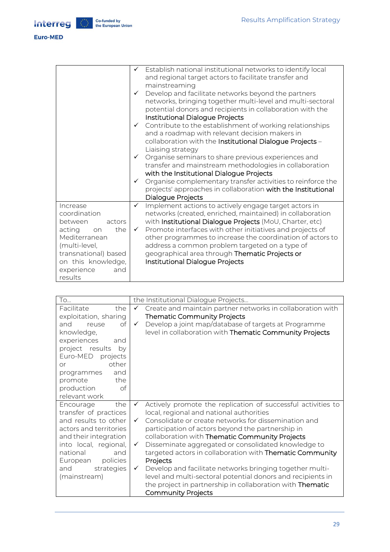#### Euro-MED

|                                                                                                                                                                                      | $\checkmark$<br>$\checkmark$<br>$\checkmark$ | ✔ Establish national institutional networks to identify local<br>and regional target actors to facilitate transfer and<br>mainstreaming<br>Develop and facilitate networks beyond the partners<br>networks, bringing together multi-level and multi-sectoral<br>potential donors and recipients in collaboration with the<br>Institutional Dialogue Projects<br>$\checkmark$ Contribute to the establishment of working relationships<br>and a roadmap with relevant decision makers in<br>collaboration with the Institutional Dialogue Projects -<br>Liaising strategy<br>Organise seminars to share previous experiences and<br>transfer and mainstream methodologies in collaboration<br>with the Institutional Dialogue Projects<br>Organise complementary transfer activities to reinforce the |
|--------------------------------------------------------------------------------------------------------------------------------------------------------------------------------------|----------------------------------------------|------------------------------------------------------------------------------------------------------------------------------------------------------------------------------------------------------------------------------------------------------------------------------------------------------------------------------------------------------------------------------------------------------------------------------------------------------------------------------------------------------------------------------------------------------------------------------------------------------------------------------------------------------------------------------------------------------------------------------------------------------------------------------------------------------|
|                                                                                                                                                                                      |                                              | projects' approaches in collaboration with the Institutional<br>Dialogue Projects                                                                                                                                                                                                                                                                                                                                                                                                                                                                                                                                                                                                                                                                                                                    |
| Increase<br>coordination<br>between<br>actors<br>acting<br>the<br>on<br>Mediterranean<br>(multi-level,<br>transnational) based<br>on this knowledge,<br>experience<br>and<br>results | $\checkmark$<br>$\checkmark$                 | Implement actions to actively engage target actors in<br>networks (created, enriched, maintained) in collaboration<br>with Institutional Dialogue Projects (MoU, Charter, etc)<br>Promote interfaces with other initiatives and projects of<br>other programmes to increase the coordination of actors to<br>address a common problem targeted on a type of<br>geographical area through Thematic Projects or<br>Institutional Dialogue Projects                                                                                                                                                                                                                                                                                                                                                     |

| To                     |              | the Institutional Dialogue Projects                          |
|------------------------|--------------|--------------------------------------------------------------|
| Facilitate<br>the      | $\checkmark$ | Create and maintain partner networks in collaboration with   |
| exploitation, sharing  |              | <b>Thematic Community Projects</b>                           |
| Ωf<br>and<br>reuse     | $\checkmark$ | Develop a joint map/database of targets at Programme         |
| knowledge,             |              | level in collaboration with Thematic Community Projects      |
| experiences<br>and     |              |                                                              |
| project results by     |              |                                                              |
| Euro-MED projects      |              |                                                              |
| other<br><b>or</b>     |              |                                                              |
| programmes<br>and      |              |                                                              |
| the<br>promote         |              |                                                              |
| production<br>of       |              |                                                              |
| relevant work          |              |                                                              |
| the<br>Encourage       | $\checkmark$ | Actively promote the replication of successful activities to |
| transfer of practices  |              | local, regional and national authorities                     |
| and results to other   | $\checkmark$ | Consolidate or create networks for dissemination and         |
| actors and territories |              | participation of actors beyond the partnership in            |
| and their integration  |              | collaboration with Thematic Community Projects               |
| into local, regional,  | $\checkmark$ | Disseminate aggregated or consolidated knowledge to          |
| national<br>and        |              | targeted actors in collaboration with Thematic Community     |
| European policies      |              | Projects                                                     |
| and<br>strategies      | $\checkmark$ | Develop and facilitate networks bringing together multi-     |
| (mainstream)           |              | level and multi-sectoral potential donors and recipients in  |
|                        |              | the project in partnership in collaboration with Thematic    |
|                        |              | <b>Community Projects</b>                                    |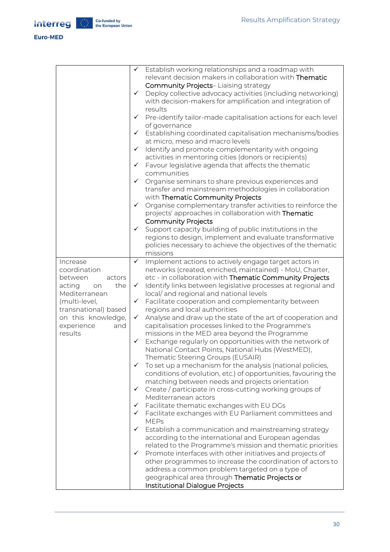#### **Euro-MED**

| Deploy collective advocacy activities (including networking)<br>with decision-makers for amplification and integration of<br>Pre-identify tailor-made capitalisation actions for each level<br>Establishing coordinated capitalisation mechanisms/bodies<br>transfer and mainstream methodologies in collaboration<br>Organise complementary transfer activities to reinforce the |
|-----------------------------------------------------------------------------------------------------------------------------------------------------------------------------------------------------------------------------------------------------------------------------------------------------------------------------------------------------------------------------------|
| regions to design, implement and evaluate transformative<br>policies necessary to achieve the objectives of the thematic                                                                                                                                                                                                                                                          |
| networks (created, enriched, maintained) - MoU, Charter,                                                                                                                                                                                                                                                                                                                          |
| etc - in collaboration with Thematic Community Projects                                                                                                                                                                                                                                                                                                                           |
| Identify links between legislative processes at regional and                                                                                                                                                                                                                                                                                                                      |
|                                                                                                                                                                                                                                                                                                                                                                                   |
| Analyse and draw up the state of the art of cooperation and                                                                                                                                                                                                                                                                                                                       |
|                                                                                                                                                                                                                                                                                                                                                                                   |
| Exchange regularly on opportunities with the network of                                                                                                                                                                                                                                                                                                                           |
|                                                                                                                                                                                                                                                                                                                                                                                   |
|                                                                                                                                                                                                                                                                                                                                                                                   |
| To set up a mechanism for the analysis (national policies,<br>conditions of evolution, etc.) of opportunities, favouring the                                                                                                                                                                                                                                                      |
|                                                                                                                                                                                                                                                                                                                                                                                   |
|                                                                                                                                                                                                                                                                                                                                                                                   |
|                                                                                                                                                                                                                                                                                                                                                                                   |
|                                                                                                                                                                                                                                                                                                                                                                                   |
| Facilitate exchanges with EU Parliament committees and                                                                                                                                                                                                                                                                                                                            |
| Establish a communication and mainstreaming strategy                                                                                                                                                                                                                                                                                                                              |
|                                                                                                                                                                                                                                                                                                                                                                                   |
| related to the Programme's mission and thematic priorities                                                                                                                                                                                                                                                                                                                        |
| Promote interfaces with other initiatives and projects of                                                                                                                                                                                                                                                                                                                         |
| other programmes to increase the coordination of actors to                                                                                                                                                                                                                                                                                                                        |
|                                                                                                                                                                                                                                                                                                                                                                                   |
|                                                                                                                                                                                                                                                                                                                                                                                   |
|                                                                                                                                                                                                                                                                                                                                                                                   |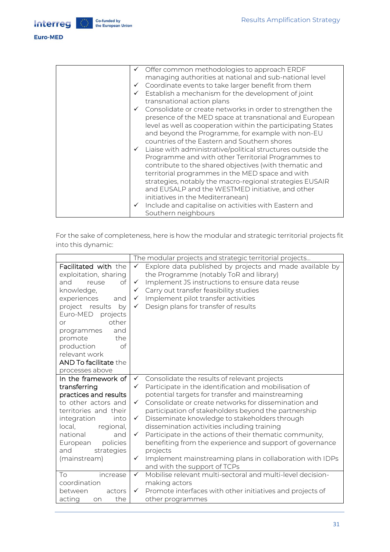#### Euro-MED

| $\checkmark$ Offer common methodologies to approach ERDF<br>managing authorities at national and sub-national level                                                                                                                                                                                                                                                                               |
|---------------------------------------------------------------------------------------------------------------------------------------------------------------------------------------------------------------------------------------------------------------------------------------------------------------------------------------------------------------------------------------------------|
| $\checkmark$ Coordinate events to take larger benefit from them                                                                                                                                                                                                                                                                                                                                   |
| Establish a mechanism for the development of joint                                                                                                                                                                                                                                                                                                                                                |
| transnational action plans                                                                                                                                                                                                                                                                                                                                                                        |
| $\checkmark$ Consolidate or create networks in order to strengthen the<br>presence of the MED space at transnational and European<br>level as well as cooperation within the participating States<br>and beyond the Programme, for example with non-EU                                                                                                                                            |
| countries of the Eastern and Southern shores                                                                                                                                                                                                                                                                                                                                                      |
| $\checkmark$ Liaise with administrative/political structures outside the<br>Programme and with other Territorial Programmes to<br>contribute to the shared objectives (with thematic and<br>territorial programmes in the MED space and with<br>strategies, notably the macro-regional strategies EUSAIR<br>and EUSALP and the WESTMED initiative, and other<br>initiatives in the Mediterranean) |
| Include and capitalise on activities with Eastern and<br>Southern neighbours                                                                                                                                                                                                                                                                                                                      |

| For the sake of completeness, here is how the modular and strategic territorial projects fit |  |  |
|----------------------------------------------------------------------------------------------|--|--|
| into this dynamic:                                                                           |  |  |

|                                                                                                                                                                                                                                                                                                 | The modular projects and strategic territorial projects                                                                                                                                                                                                                                                                                                        |  |  |
|-------------------------------------------------------------------------------------------------------------------------------------------------------------------------------------------------------------------------------------------------------------------------------------------------|----------------------------------------------------------------------------------------------------------------------------------------------------------------------------------------------------------------------------------------------------------------------------------------------------------------------------------------------------------------|--|--|
| Facilitated with the<br>exploitation, sharing<br>of<br>and<br>reuse<br>knowledge,<br>experiences<br>and<br>project results<br>by<br>Euro-MED<br>projects<br>other<br>or<br>and<br>programmes<br>the<br>promote<br>of<br>production<br>relevant work<br>AND To facilitate the<br>processes above | Explore data published by projects and made available by<br>$\checkmark$<br>the Programme (notably ToR and library)<br>Implement JS instructions to ensure data reuse<br>$\checkmark$<br>Carry out transfer feasibility studies<br>$\checkmark$<br>Implement pilot transfer activities<br>$\checkmark$<br>Design plans for transfer of results<br>$\checkmark$ |  |  |
| In the framework of                                                                                                                                                                                                                                                                             | Consolidate the results of relevant projects<br>$\checkmark$                                                                                                                                                                                                                                                                                                   |  |  |
| transferring                                                                                                                                                                                                                                                                                    | Participate in the identification and mobilisation of<br>$\checkmark$                                                                                                                                                                                                                                                                                          |  |  |
| practices and results                                                                                                                                                                                                                                                                           | potential targets for transfer and mainstreaming                                                                                                                                                                                                                                                                                                               |  |  |
| to other actors and                                                                                                                                                                                                                                                                             | Consolidate or create networks for dissemination and<br>$\checkmark$                                                                                                                                                                                                                                                                                           |  |  |
| territories and their                                                                                                                                                                                                                                                                           | participation of stakeholders beyond the partnership                                                                                                                                                                                                                                                                                                           |  |  |
| integration<br>into                                                                                                                                                                                                                                                                             | Disseminate knowledge to stakeholders through<br>$\checkmark$                                                                                                                                                                                                                                                                                                  |  |  |
| local,<br>regional,                                                                                                                                                                                                                                                                             | dissemination activities including training                                                                                                                                                                                                                                                                                                                    |  |  |
| national<br>and                                                                                                                                                                                                                                                                                 | Participate in the actions of their thematic community,<br>$\checkmark$                                                                                                                                                                                                                                                                                        |  |  |
| European<br>policies<br>and                                                                                                                                                                                                                                                                     | benefiting from the experience and support of governance                                                                                                                                                                                                                                                                                                       |  |  |
| strategies                                                                                                                                                                                                                                                                                      | projects<br>✓                                                                                                                                                                                                                                                                                                                                                  |  |  |
| (mainstream)                                                                                                                                                                                                                                                                                    | Implement mainstreaming plans in collaboration with IDPs<br>and with the support of TCPs                                                                                                                                                                                                                                                                       |  |  |
| To<br>increase                                                                                                                                                                                                                                                                                  | Mobilise relevant multi-sectoral and multi-level decision-<br>$\checkmark$                                                                                                                                                                                                                                                                                     |  |  |
| coordination                                                                                                                                                                                                                                                                                    | making actors                                                                                                                                                                                                                                                                                                                                                  |  |  |
| between<br>actors                                                                                                                                                                                                                                                                               | Promote interfaces with other initiatives and projects of<br>$\checkmark$                                                                                                                                                                                                                                                                                      |  |  |
| acting<br>the<br>on                                                                                                                                                                                                                                                                             | other programmes                                                                                                                                                                                                                                                                                                                                               |  |  |
|                                                                                                                                                                                                                                                                                                 |                                                                                                                                                                                                                                                                                                                                                                |  |  |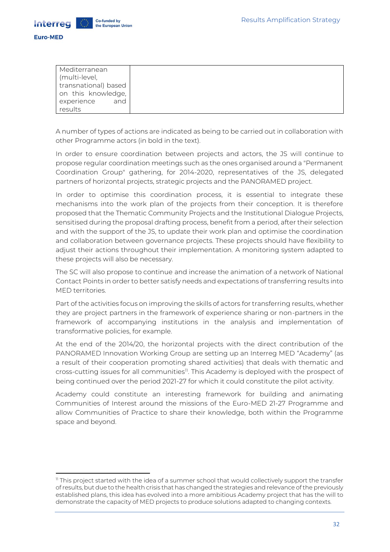

| Mediterranean        |
|----------------------|
| (multi-level,        |
| transnational) based |
| on this knowledge,   |
| and<br>experience    |
| results              |

A number of types of actions are indicated as being to be carried out in collaboration with other Programme actors (in bold in the text).

In order to ensure coordination between projects and actors, the JS will continue to propose regular coordination meetings such as the ones organised around a "Permanent Coordination Group" gathering, for 2014-2020, representatives of the JS, delegated partners of horizontal projects, strategic projects and the PANORAMED project.

In order to optimise this coordination process, it is essential to integrate these mechanisms into the work plan of the projects from their conception. It is therefore proposed that the Thematic Community Projects and the Institutional Dialogue Projects, sensitised during the proposal drafting process, benefit from a period, after their selection and with the support of the JS, to update their work plan and optimise the coordination and collaboration between governance projects. These projects should have flexibility to adjust their actions throughout their implementation. A monitoring system adapted to these projects will also be necessary.

The SC will also propose to continue and increase the animation of a network of National Contact Points in order to better satisfy needs and expectations of transferring results into MED territories.

Part of the activities focus on improving the skills of actors for transferring results, whether they are project partners in the framework of experience sharing or non-partners in the framework of accompanying institutions in the analysis and implementation of transformative policies, for example.

At the end of the 2014/20, the horizontal projects with the direct contribution of the PANORAMED Innovation Working Group are setting up an Interreg MED "Academy" (as a result of their cooperation promoting shared activities) that deals with thematic and cross-cutting issues for all communities<sup>11</sup>. This Academy is deployed with the prospect of being continued over the period 2021-27 for which it could constitute the pilot activity.

Academy could constitute an interesting framework for building and animating Communities of Interest around the missions of the Euro-MED 21-27 Programme and allow Communities of Practice to share their knowledge, both within the Programme space and beyond.

<sup>11</sup> This project started with the idea of a summer school that would collectively support the transfer of results, but due to the health crisis that has changed the strategies and relevance of the previously established plans, this idea has evolved into a more ambitious Academy project that has the will to demonstrate the capacity of MED projects to produce solutions adapted to changing contexts.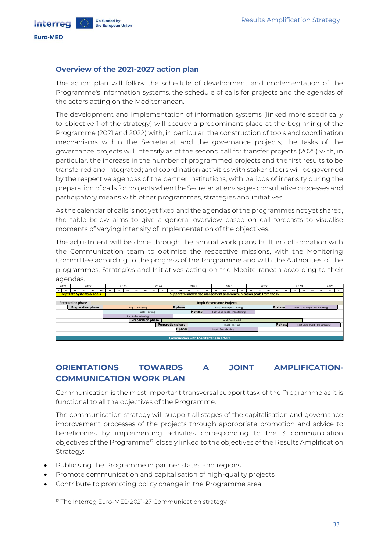#### <span id="page-32-0"></span>**Overview of the 2021-2027 action plan**

Co-funded by

the European Union

The action plan will follow the schedule of development and implementation of the Programme's information systems, the schedule of calls for projects and the agendas of the actors acting on the Mediterranean.

The development and implementation of information systems (linked more specifically to objective 1 of the strategy) will occupy a predominant place at the beginning of the Programme (2021 and 2022) with, in particular, the construction of tools and coordination mechanisms within the Secretariat and the governance projects; the tasks of the governance projects will intensify as of the second call for transfer projects (2025) with, in particular, the increase in the number of programmed projects and the first results to be transferred and integrated; and coordination activities with stakeholders will be governed by the respective agendas of the partner institutions, with periods of intensity during the preparation of calls for projects when the Secretariat envisages consultative processes and participatory means with other programmes, strategies and initiatives.

As the calendar of calls is not yet fixed and the agendas of the programmes not yet shared, the table below aims to give a general overview based on call forecasts to visualise moments of varying intensity of implementation of the objectives.

The adjustment will be done through the annual work plans built in collaboration with the Communication team to optimise the respective missions, with the Monitoring Committee according to the progress of the Programme and with the Authorities of the programmes, Strategies and Initiatives acting on the Mediterranean according to their agendas.



## <span id="page-32-1"></span>**ORIENTATIONS TOWARDS A JOINT AMPLIFICATION-COMMUNICATION WORK PLAN**

Communication is the most important transversal support task of the Programme as it is functional to all the objectives of the Programme.

The communication strategy will support all stages of the capitalisation and governance improvement processes of the projects through appropriate promotion and advice to beneficiaries by implementing activities corresponding to the 3 communication objectives of the Programme<sup>12</sup>, closely linked to the objectives of the Results Amplification Strategy:

- Publicising the Programme in partner states and regions
- Promote communication and capitalisation of high-quality projects
- Contribute to promoting policy change in the Programme area

<sup>12</sup> The Interreg Euro-MED 2021-27 Communication strategy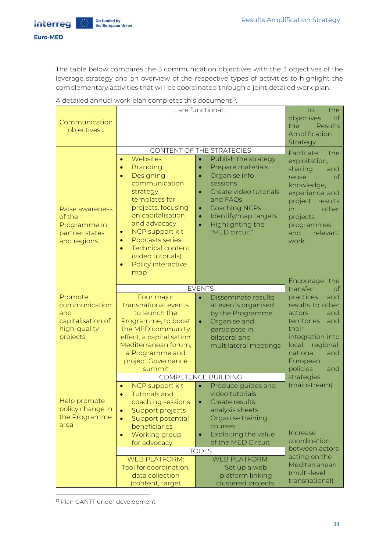**Interreg** Euro-MED

> The table below compares the 3 communication objectives with the 3 objectives of the leverage strategy and an overview of the respective types of activities to highlight the complementary activities that will be coordinated through a joint detailed work plan.

| Communication<br>objectives                                                      | are functional                                                                                                                                                                                                                                                                                                                                                                                                                                                                                                                                                                                                                                                                   | the<br>to<br>objectives<br>of<br>the<br><b>Results</b><br>Amplification<br>Strategy                                                                                                                                              |                                                                                                                                                                                                |
|----------------------------------------------------------------------------------|----------------------------------------------------------------------------------------------------------------------------------------------------------------------------------------------------------------------------------------------------------------------------------------------------------------------------------------------------------------------------------------------------------------------------------------------------------------------------------------------------------------------------------------------------------------------------------------------------------------------------------------------------------------------------------|----------------------------------------------------------------------------------------------------------------------------------------------------------------------------------------------------------------------------------|------------------------------------------------------------------------------------------------------------------------------------------------------------------------------------------------|
| Raise awareness<br>of the<br>Programme in<br>partner states<br>and regions       | CONTENT OF THE STRATEGIES<br>Websites<br>Publish the strategy<br>$\bullet$<br>$\bullet$<br><b>Branding</b><br>Prepare materials<br>$\bullet$<br>$\bullet$<br>Designing<br>Organise info<br>$\bullet$<br>$\bullet$<br>communication<br>sessions<br>Create video tutorials<br>strategy<br>$\bullet$<br>templates for<br>and FAQs<br>projects, focusing<br><b>Coaching NCPs</b><br>$\bullet$<br>on capitalisation<br>Identify/map targets<br>$\bullet$<br>and advocacy<br>Highlighting the<br>$\bullet$<br>NCP support kit<br>"MED circuit"<br>$\bullet$<br>Podcasts series<br>$\bullet$<br><b>Technical content</b><br>$\bullet$<br>(video tutorials)<br>Policy interactive<br>map |                                                                                                                                                                                                                                  | Facilitate<br>the<br>exploitation,<br>sharing<br>and<br>of<br>reuse<br>knowledge,<br>experience and<br>project results<br>other<br>in<br>projects,<br>programmes<br>relevant<br>and<br>work    |
| Promote<br>communication<br>and<br>capitalisation of<br>high-quality<br>projects | <b>EVENTS</b><br>Four major<br>Disseminate results<br>$\bullet$<br>transnational events<br>at events organised<br>to launch the<br>actors<br>by the Programme<br>Programme, to boost<br>Organise and<br>$\bullet$<br>the MED community<br>their<br>participate in<br>effect, a capitalisation<br>bilateral and<br>Mediterranean forum,<br>multilateral meetings<br>a Programme and<br>project Governance                                                                                                                                                                                                                                                                         |                                                                                                                                                                                                                                  | Encourage the<br>transfer<br>оf<br>practices<br>and<br>results to other<br>and<br>territories<br>and<br>integration into<br>local, regional,<br>national<br>and<br>European<br>policies<br>and |
| Help promote<br>policy change in<br>the Programme<br>area                        | summit<br>NCP support kit<br><b>Tutorials and</b><br>coaching sessions<br>Support projects<br>$\bullet$<br>Support potential<br>$\bullet$<br>beneficiaries<br>Working group<br>$\bullet$<br>for advocacy                                                                                                                                                                                                                                                                                                                                                                                                                                                                         | <b>COMPETENCE BUILDING</b><br>Produce guides and<br>$\bullet$<br>video tutorials<br>Create results<br>analysis sheets<br>Organise training<br>courses<br>Exploiting the value<br>$\bullet$<br>of the MED Circuit<br><b>TOOLS</b> | strategies<br>(mainstream)<br>Increase<br>coordination<br>between actors                                                                                                                       |
|                                                                                  | <b>WEB PLATFORM:</b><br>Tool for coordination,<br>data collection<br>(content, target                                                                                                                                                                                                                                                                                                                                                                                                                                                                                                                                                                                            | <b>WEB PLATFORM</b><br>Set up a web<br>platform linking<br>clustered projects,                                                                                                                                                   | acting on the<br>Mediterranean<br>(multi-level,<br>transnational)                                                                                                                              |

A detailed annual work plan completes this document<sup>13</sup>. .

<sup>13</sup> Plan GANTT under development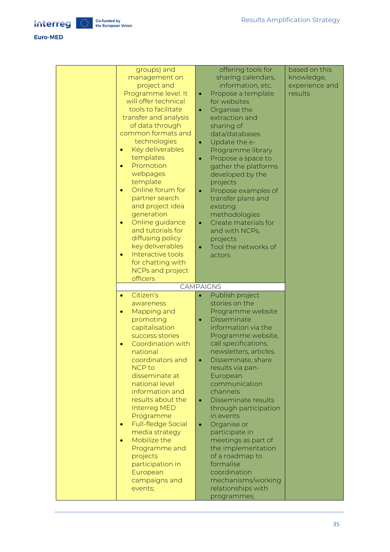#### Euro-MED

| groups) and<br>management on<br>project and<br>Programme level. It<br>will offer technical<br>tools to facilitate<br>transfer and analysis<br>of data through<br>common formats and<br>technologies<br>Key deliverables<br>templates<br>Promotion<br>$\bullet$<br>webpages<br>template<br>Online forum for<br>$\bullet$<br>partner search<br>and project idea<br>generation<br>Online guidance<br>$\bullet$<br>and tutorials for<br>diffusing policy<br>key deliverables<br>Interactive tools<br>$\bullet$<br>for chatting with<br>NCPs and project<br>officers | offering tools for<br>sharing calendars,<br>information, etc.<br>Propose a template<br>$\bullet$<br>for websites<br>Organise the<br>۰<br>extraction and<br>sharing of<br>data/databases<br>Update the e-<br>$\bullet$<br>Programme library<br>Propose a space to<br>$\bullet$<br>gather the platforms<br>developed by the<br>projects<br>Propose examples of<br>$\bullet$<br>transfer plans and<br>existing<br>methodologies<br>Create materials for<br>$\bullet$<br>and with NCPs,<br>projects<br>Tool the networks of<br>actors                                              | based on this<br>knowledge,<br>experience and<br>results |
|-----------------------------------------------------------------------------------------------------------------------------------------------------------------------------------------------------------------------------------------------------------------------------------------------------------------------------------------------------------------------------------------------------------------------------------------------------------------------------------------------------------------------------------------------------------------|--------------------------------------------------------------------------------------------------------------------------------------------------------------------------------------------------------------------------------------------------------------------------------------------------------------------------------------------------------------------------------------------------------------------------------------------------------------------------------------------------------------------------------------------------------------------------------|----------------------------------------------------------|
|                                                                                                                                                                                                                                                                                                                                                                                                                                                                                                                                                                 | <b>CAMPAIGNS</b>                                                                                                                                                                                                                                                                                                                                                                                                                                                                                                                                                               |                                                          |
| Citizen's<br>$\bullet$<br>awareness<br>Mapping and<br>$\bullet$<br>promoting<br>capitalisation<br>success stories<br>Coordination with<br>national<br>coordinators and<br><b>NCP to</b><br>disseminate at<br>national level<br>information and<br>results about the<br>Interreg MED<br>Programme<br><b>Full-fledge Social</b><br>media strategy<br>Mobilize the<br>$\bullet$<br>Programme and<br>projects<br>participation in<br>European<br>campaigns and<br>events;                                                                                           | Publish project<br>$\bullet$<br>stories on the<br>Programme website<br>Disseminate<br>$\bullet$<br>information via the<br>Programme website,<br>call specifications,<br>newsletters, articles.<br>Disseminate, share<br>$\bullet$<br>results via pan-<br>European<br>communication<br>channels<br>Disseminate results<br>$\bullet$<br>through participation<br>in events<br>Organise or<br>$\bullet$<br>participate in<br>meetings as part of<br>the implementation<br>of a roadmap to<br>formalise<br>coordination<br>mechanisms/working<br>relationships with<br>programmes, |                                                          |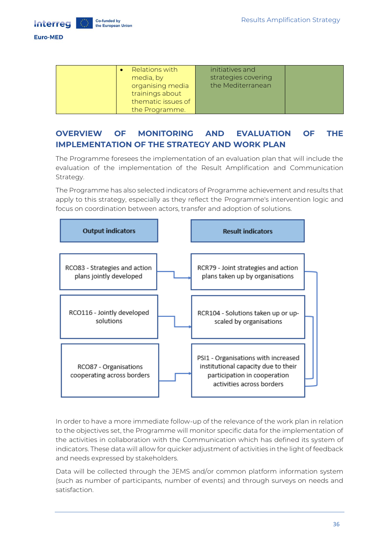

Co-funded by

the European Union

#### **Euro-MED**

| Relations with     | initiatives and     |  |
|--------------------|---------------------|--|
| media, by          | strategies covering |  |
| organising media   | the Mediterranean   |  |
| trainings about    |                     |  |
| thematic issues of |                     |  |
| the Programme.     |                     |  |

## <span id="page-35-0"></span>**OVERVIEW OF MONITORING AND EVALUATION OF THE IMPLEMENTATION OF THE STRATEGY AND WORK PLAN**

The Programme foresees the implementation of an evaluation plan that will include the evaluation of the implementation of the Result Amplification and Communication Strategy.

The Programme has also selected indicators of Programme achievement and results that apply to this strategy, especially as they reflect the Programme's intervention logic and focus on coordination between actors, transfer and adoption of solutions.



In order to have a more immediate follow-up of the relevance of the work plan in relation to the objectives set, the Programme will monitor specific data for the implementation of the activities in collaboration with the Communication which has defined its system of indicators. These data will allow for quicker adjustment of activities in the light of feedback and needs expressed by stakeholders.

Data will be collected through the JEMS and/or common platform information system (such as number of participants, number of events) and through surveys on needs and satisfaction.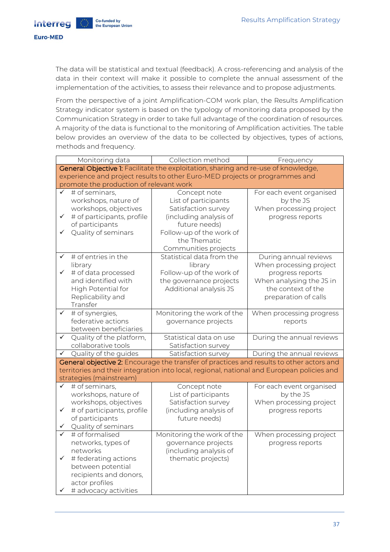**Euro-MED** 

**Interreg** 

The data will be statistical and textual (feedback). A cross-referencing and analysis of the data in their context will make it possible to complete the annual assessment of the implementation of the activities, to assess their relevance and to propose adjustments.

From the perspective of a joint Amplification-COM work plan, the Results Amplification Strategy indicator system is based on the typology of monitoring data proposed by the Communication Strategy in order to take full advantage of the coordination of resources. A majority of the data is functional to the monitoring of Amplification activities. The table below provides an overview of the data to be collected by objectives, types of actions, methods and frequency.

|              | Monitoring data                                                                    | Collection method                                                                          | Frequency                 |  |  |
|--------------|------------------------------------------------------------------------------------|--------------------------------------------------------------------------------------------|---------------------------|--|--|
|              | General Objective 1: Facilitate the exploitation, sharing and re-use of knowledge, |                                                                                            |                           |  |  |
|              |                                                                                    | experience and project results to other Euro-MED projects or programmes and                |                           |  |  |
|              | promote the production of relevant work                                            |                                                                                            |                           |  |  |
|              | # of seminars,                                                                     | Concept note                                                                               | For each event organised  |  |  |
|              | workshops, nature of                                                               | List of participants                                                                       | by the JS                 |  |  |
|              | workshops, objectives                                                              | Satisfaction survey                                                                        | When processing project   |  |  |
| ✓            | # of participants, profile                                                         | (including analysis of                                                                     | progress reports          |  |  |
|              | of participants                                                                    | future needs)                                                                              |                           |  |  |
| ✓            | Quality of seminars                                                                | Follow-up of the work of                                                                   |                           |  |  |
|              |                                                                                    | the Thematic                                                                               |                           |  |  |
|              |                                                                                    | Communities projects                                                                       |                           |  |  |
| ✓            | # of entries in the                                                                | Statistical data from the                                                                  | During annual reviews     |  |  |
|              | library                                                                            | library                                                                                    | When processing project   |  |  |
| $\checkmark$ | # of data processed                                                                | Follow-up of the work of                                                                   | progress reports          |  |  |
|              | and identified with                                                                | the governance projects                                                                    | When analysing the JS in  |  |  |
|              | High Potential for                                                                 | Additional analysis JS                                                                     | the context of the        |  |  |
|              | Replicability and                                                                  |                                                                                            | preparation of calls      |  |  |
|              | Transfer                                                                           |                                                                                            |                           |  |  |
| ✓            | $\overline{\#}$ of synergies,                                                      | Monitoring the work of the                                                                 | When processing progress  |  |  |
|              | federative actions                                                                 | governance projects                                                                        | reports                   |  |  |
|              | between beneficiaries                                                              |                                                                                            |                           |  |  |
| ✓            | Quality of the platform,                                                           | Statistical data on use                                                                    | During the annual reviews |  |  |
|              | collaborative tools                                                                | Satisfaction survey                                                                        |                           |  |  |
| ✓            | Quality of the guides                                                              | Satisfaction survey                                                                        | During the annual reviews |  |  |
|              |                                                                                    | General objective 2: Encourage the transfer of practices and results to other actors and   |                           |  |  |
|              |                                                                                    | territories and their integration into local, regional, national and European policies and |                           |  |  |
|              | strategies (mainstream)                                                            |                                                                                            |                           |  |  |
| ✓            | # of seminars,                                                                     | Concept note                                                                               | For each event organised  |  |  |
|              | workshops, nature of                                                               | List of participants                                                                       | by the JS                 |  |  |
|              | workshops, objectives                                                              | Satisfaction survey                                                                        | When processing project   |  |  |
| $\checkmark$ | # of participants, profile                                                         | (including analysis of                                                                     | progress reports          |  |  |
|              | of participants                                                                    | future needs)                                                                              |                           |  |  |
|              | Quality of seminars                                                                |                                                                                            |                           |  |  |
|              | # of formalised                                                                    | Monitoring the work of the                                                                 | When processing project   |  |  |
|              | networks, types of                                                                 | governance projects                                                                        | progress reports          |  |  |
|              | networks                                                                           | (including analysis of                                                                     |                           |  |  |
| ✓            | # federating actions                                                               | thematic projects)                                                                         |                           |  |  |
|              | between potential                                                                  |                                                                                            |                           |  |  |
|              | recipients and donors,                                                             |                                                                                            |                           |  |  |
|              | actor profiles                                                                     |                                                                                            |                           |  |  |
| ✓            | # advocacy activities                                                              |                                                                                            |                           |  |  |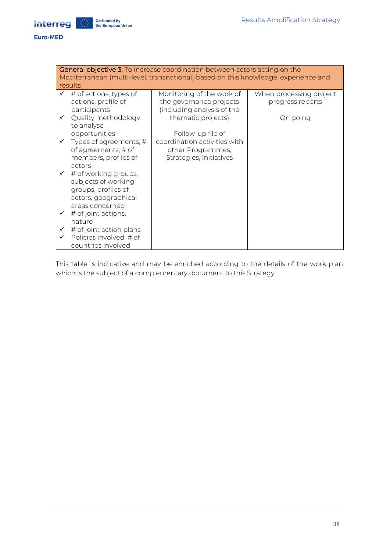

Interreg

| <b>General objective 3:</b> To increase coordination between actors acting on the<br>Mediterranean (multi-level, transnational) based on this knowledge, experience and<br>results |                                                            |                                                      |                                             |  |
|------------------------------------------------------------------------------------------------------------------------------------------------------------------------------------|------------------------------------------------------------|------------------------------------------------------|---------------------------------------------|--|
|                                                                                                                                                                                    | $\checkmark$ # of actions, types of<br>actions, profile of | Monitoring of the work of<br>the governance projects | When processing project<br>progress reports |  |
|                                                                                                                                                                                    | participants                                               | (including analysis of the                           |                                             |  |
|                                                                                                                                                                                    | ✔ Quality methodology<br>to analyse                        | thematic projects)                                   | On going                                    |  |
|                                                                                                                                                                                    | opportunities                                              | Follow-up file of                                    |                                             |  |
|                                                                                                                                                                                    | $\checkmark$ Types of agreements, #<br>of agreements, # of | coordination activities with<br>other Programmes,    |                                             |  |
|                                                                                                                                                                                    | members, profiles of                                       | Strategies, Initiatives                              |                                             |  |
|                                                                                                                                                                                    | actors<br>$\checkmark$ # of working groups,                |                                                      |                                             |  |
|                                                                                                                                                                                    | subjects of working                                        |                                                      |                                             |  |
|                                                                                                                                                                                    | groups, profiles of<br>actors, geographical                |                                                      |                                             |  |
|                                                                                                                                                                                    | areas concerned                                            |                                                      |                                             |  |
| $\checkmark$                                                                                                                                                                       | # of joint actions,<br>nature                              |                                                      |                                             |  |
| $\checkmark$                                                                                                                                                                       | # of joint action plans                                    |                                                      |                                             |  |
| $\checkmark$                                                                                                                                                                       | Policies involved, # of<br>countries involved              |                                                      |                                             |  |

This table is indicative and may be enriched according to the details of the work plan which is the subject of a complementary document to this Strategy.